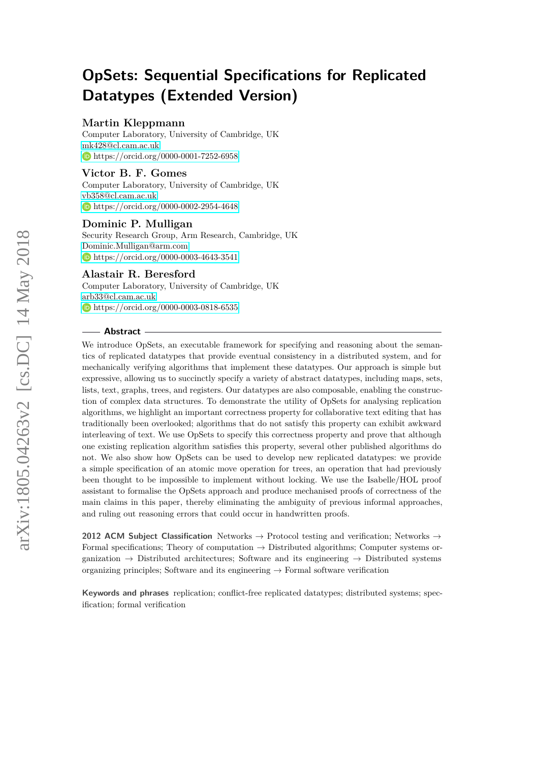# <span id="page-0-0"></span>**OpSets: Sequential Specifications for Replicated Datatypes (Extended Version)**

# **Martin Kleppmann**

Computer Laboratory, University of Cambridge, UK [mk428@cl.cam.ac.uk](mailto:mk428@cl.cam.ac.uk) <https://orcid.org/0000-0001-7252-6958>

#### **Victor B. F. Gomes**

Computer Laboratory, University of Cambridge, UK [vb358@cl.cam.ac.uk](mailto:vb358@cl.cam.ac.uk) <https://orcid.org/0000-0002-2954-4648>

## **Dominic P. Mulligan**

Security Research Group, Arm Research, Cambridge, UK [Dominic.Mulligan@arm.com](mailto:Dominic.Mulligan@arm.com) <https://orcid.org/0000-0003-4643-3541>

## **Alastair R. Beresford**

Computer Laboratory, University of Cambridge, UK [arb33@cl.cam.ac.uk](mailto:arb33@cl.cam.ac.uk) <https://orcid.org/0000-0003-0818-6535>

#### **Abstract**

We introduce OpSets, an executable framework for specifying and reasoning about the semantics of replicated datatypes that provide eventual consistency in a distributed system, and for mechanically verifying algorithms that implement these datatypes. Our approach is simple but expressive, allowing us to succinctly specify a variety of abstract datatypes, including maps, sets, lists, text, graphs, trees, and registers. Our datatypes are also composable, enabling the construction of complex data structures. To demonstrate the utility of OpSets for analysing replication algorithms, we highlight an important correctness property for collaborative text editing that has traditionally been overlooked; algorithms that do not satisfy this property can exhibit awkward interleaving of text. We use OpSets to specify this correctness property and prove that although one existing replication algorithm satisfies this property, several other published algorithms do not. We also show how OpSets can be used to develop new replicated datatypes: we provide a simple specification of an atomic move operation for trees, an operation that had previously been thought to be impossible to implement without locking. We use the Isabelle/HOL proof assistant to formalise the OpSets approach and produce mechanised proofs of correctness of the main claims in this paper, thereby eliminating the ambiguity of previous informal approaches, and ruling out reasoning errors that could occur in handwritten proofs.

**2012 ACM Subject Classification** Networks → Protocol testing and verification; Networks → Formal specifications; Theory of computation  $\rightarrow$  Distributed algorithms; Computer systems organization  $\rightarrow$  Distributed architectures; Software and its engineering  $\rightarrow$  Distributed systems organizing principles: Software and its engineering  $\rightarrow$  Formal software verification

**Keywords and phrases** replication; conflict-free replicated datatypes; distributed systems; specification; formal verification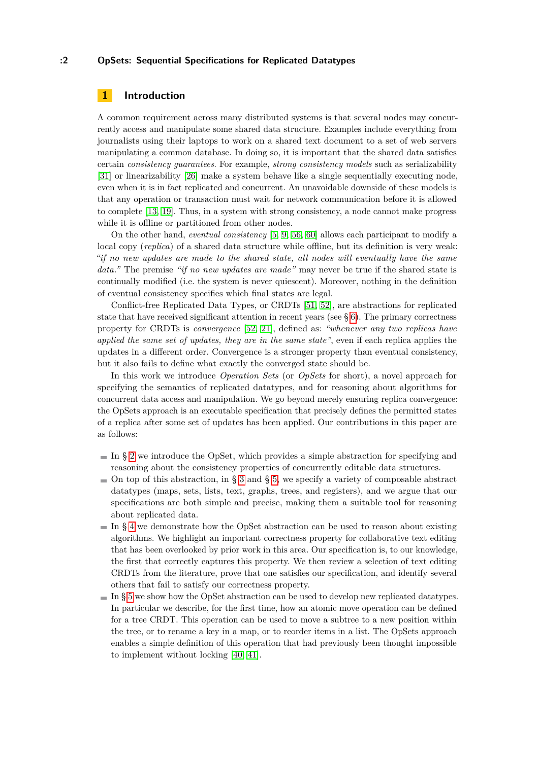#### **:2 OpSets: Sequential Specifications for Replicated Datatypes**

# **1 Introduction**

A common requirement across many distributed systems is that several nodes may concurrently access and manipulate some shared data structure. Examples include everything from journalists using their laptops to work on a shared text document to a set of web servers manipulating a common database. In doing so, it is important that the shared data satisfies certain *consistency guarantees*. For example, *strong consistency models* such as serializability [\[31\]](#page-16-0) or linearizability [\[26\]](#page-16-1) make a system behave like a single sequentially executing node, even when it is in fact replicated and concurrent. An unavoidable downside of these models is that any operation or transaction must wait for network communication before it is allowed to complete [\[13,](#page-15-0) [19\]](#page-16-2). Thus, in a system with strong consistency, a node cannot make progress while it is offline or partitioned from other nodes.

On the other hand, *eventual consistency* [\[5,](#page-15-1) [9,](#page-15-2) [56,](#page-18-0) [60\]](#page-18-1) allows each participant to modify a local copy (*replica*) of a shared data structure while offline, but its definition is very weak: *"if no new updates are made to the shared state, all nodes will eventually have the same data."* The premise *"if no new updates are made"* may never be true if the shared state is continually modified (i.e. the system is never quiescent). Moreover, nothing in the definition of eventual consistency specifies which final states are legal.

Conflict-free Replicated Data Types, or CRDTs [\[51,](#page-18-2) [52\]](#page-18-3), are abstractions for replicated state that have received significant attention in recent years (see § [6\)](#page-12-0). The primary correctness property for CRDTs is *convergence* [\[52,](#page-18-3) [21\]](#page-16-3), defined as: *"whenever any two replicas have applied the same set of updates, they are in the same state"*, even if each replica applies the updates in a different order. Convergence is a stronger property than eventual consistency, but it also fails to define what exactly the converged state should be.

In this work we introduce *Operation Sets* (or *OpSets* for short), a novel approach for specifying the semantics of replicated datatypes, and for reasoning about algorithms for concurrent data access and manipulation. We go beyond merely ensuring replica convergence: the OpSets approach is an executable specification that precisely defines the permitted states of a replica after some set of updates has been applied. Our contributions in this paper are as follows:

- $\blacksquare$  In § [2](#page-2-0) we introduce the OpSet, which provides a simple abstraction for specifying and reasoning about the consistency properties of concurrently editable data structures.
- $\Box$  On top of this abstraction, in § [3](#page-5-0) and § [5,](#page-9-0) we specify a variety of composable abstract datatypes (maps, sets, lists, text, graphs, trees, and registers), and we argue that our specifications are both simple and precise, making them a suitable tool for reasoning about replicated data.
- $\blacksquare$  In § [4](#page-7-0) we demonstrate how the OpSet abstraction can be used to reason about existing algorithms. We highlight an important correctness property for collaborative text editing that has been overlooked by prior work in this area. Our specification is, to our knowledge, the first that correctly captures this property. We then review a selection of text editing CRDTs from the literature, prove that one satisfies our specification, and identify several others that fail to satisfy our correctness property.
- $\blacksquare$  In § [5](#page-9-0) we show how the OpSet abstraction can be used to develop new replicated datatypes. In particular we describe, for the first time, how an atomic move operation can be defined for a tree CRDT. This operation can be used to move a subtree to a new position within the tree, or to rename a key in a map, or to reorder items in a list. The OpSets approach enables a simple definition of this operation that had previously been thought impossible to implement without locking [\[40,](#page-17-0) [41\]](#page-17-1).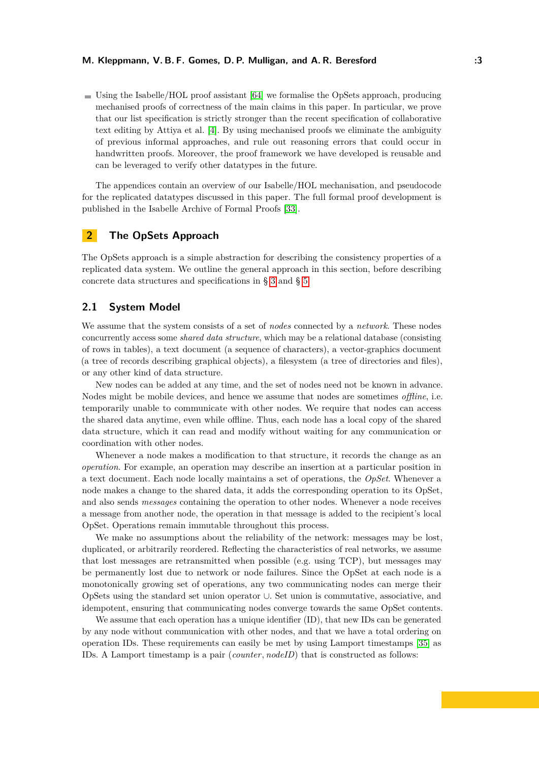#### **M. Kleppmann, V. B. F. Gomes, D. P. Mulligan, and A. R. Beresford :3**

 $\blacksquare$  Using the Isabelle/HOL proof assistant [\[64\]](#page-18-4) we formalise the OpSets approach, producing mechanised proofs of correctness of the main claims in this paper. In particular, we prove that our list specification is strictly stronger than the recent specification of collaborative text editing by Attiya et al. [\[4\]](#page-15-3). By using mechanised proofs we eliminate the ambiguity of previous informal approaches, and rule out reasoning errors that could occur in handwritten proofs. Moreover, the proof framework we have developed is reusable and can be leveraged to verify other datatypes in the future.

The appendices contain an overview of our Isabelle/HOL mechanisation, and pseudocode for the replicated datatypes discussed in this paper. The full formal proof development is published in the Isabelle Archive of Formal Proofs [\[33\]](#page-16-4).

# <span id="page-2-0"></span>**2 The OpSets Approach**

The OpSets approach is a simple abstraction for describing the consistency properties of a replicated data system. We outline the general approach in this section, before describing concrete data structures and specifications in § [3](#page-5-0) and § [5.](#page-9-0)

## <span id="page-2-1"></span>**2.1 System Model**

We assume that the system consists of a set of *nodes* connected by a *network*. These nodes concurrently access some *shared data structure*, which may be a relational database (consisting of rows in tables), a text document (a sequence of characters), a vector-graphics document (a tree of records describing graphical objects), a filesystem (a tree of directories and files), or any other kind of data structure.

New nodes can be added at any time, and the set of nodes need not be known in advance. Nodes might be mobile devices, and hence we assume that nodes are sometimes *offline*, i.e. temporarily unable to communicate with other nodes. We require that nodes can access the shared data anytime, even while offline. Thus, each node has a local copy of the shared data structure, which it can read and modify without waiting for any communication or coordination with other nodes.

Whenever a node makes a modification to that structure, it records the change as an *operation*. For example, an operation may describe an insertion at a particular position in a text document. Each node locally maintains a set of operations, the *OpSet*. Whenever a node makes a change to the shared data, it adds the corresponding operation to its OpSet, and also sends *messages* containing the operation to other nodes. Whenever a node receives a message from another node, the operation in that message is added to the recipient's local OpSet. Operations remain immutable throughout this process.

We make no assumptions about the reliability of the network: messages may be lost, duplicated, or arbitrarily reordered. Reflecting the characteristics of real networks, we assume that lost messages are retransmitted when possible (e.g. using TCP), but messages may be permanently lost due to network or node failures. Since the OpSet at each node is a monotonically growing set of operations, any two communicating nodes can merge their OpSets using the standard set union operator ∪. Set union is commutative, associative, and idempotent, ensuring that communicating nodes converge towards the same OpSet contents.

We assume that each operation has a unique identifier (ID), that new IDs can be generated by any node without communication with other nodes, and that we have a total ordering on operation IDs. These requirements can easily be met by using Lamport timestamps [\[35\]](#page-16-5) as IDs. A Lamport timestamp is a pair (*counter, nodeID*) that is constructed as follows: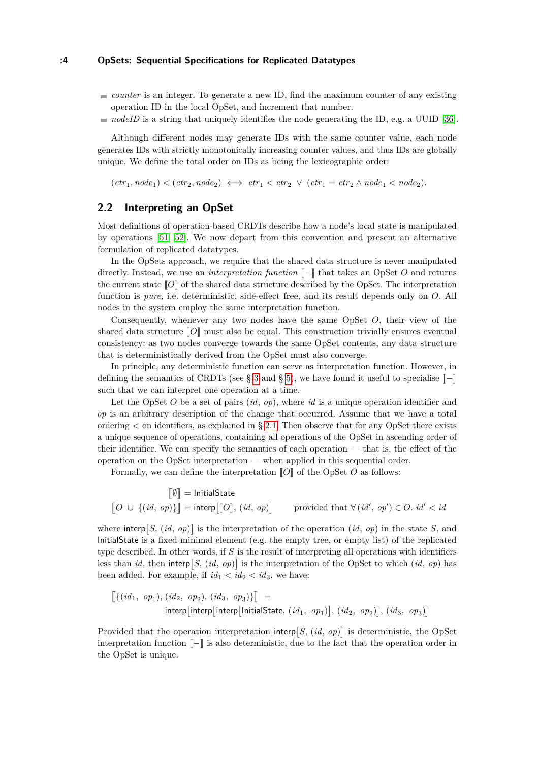#### **:4 OpSets: Sequential Specifications for Replicated Datatypes**

- *counter* is an integer. To generate a new ID, find the maximum counter of any existing operation ID in the local OpSet, and increment that number.
- $\blacksquare$  *nodeID* is a string that uniquely identifies the node generating the ID, e.g. a UUID [\[36\]](#page-16-6).

Although different nodes may generate IDs with the same counter value, each node generates IDs with strictly monotonically increasing counter values, and thus IDs are globally unique. We define the total order on IDs as being the lexicographic order:

 $(ctr_1, node_1) < (ctr_2, node_2) \iff ctr_1 < ctr_2 \lor (ctr_1 = ctr_2 \land node_1 < node_2)$ .

## <span id="page-3-0"></span>**2.2 Interpreting an OpSet**

Most definitions of operation-based CRDTs describe how a node's local state is manipulated by operations [\[51,](#page-18-2) [52\]](#page-18-3). We now depart from this convention and present an alternative formulation of replicated datatypes.

In the OpSets approach, we require that the shared data structure is never manipulated directly. Instead, we use an *interpretation function*  $\llbracket - \rrbracket$  that takes an OpSet *O* and returns the current state  $\llbracket O \rrbracket$  of the shared data structure described by the OpSet. The interpretation function is *pure*, i.e. deterministic, side-effect free, and its result depends only on *O*. All nodes in the system employ the same interpretation function.

Consequently, whenever any two nodes have the same OpSet *O*, their view of the shared data structure  $\llbracket O \rrbracket$  must also be equal. This construction trivially ensures eventual consistency: as two nodes converge towards the same OpSet contents, any data structure that is deterministically derived from the OpSet must also converge.

In principle, any deterministic function can serve as interpretation function. However, in defining the semantics of CRDTs (see § [3](#page-5-0) and § [5\)](#page-9-0), we have found it useful to specialise  $\llbracket - \rrbracket$ such that we can interpret one operation at a time.

Let the OpSet *O* be a set of pairs (*id, op*), where *id* is a unique operation identifier and *op* is an arbitrary description of the change that occurred. Assume that we have a total ordering *<* on identifiers, as explained in § [2.1.](#page-2-1) Then observe that for any OpSet there exists a unique sequence of operations, containing all operations of the OpSet in ascending order of their identifier. We can specify the semantics of each operation — that is, the effect of the operation on the OpSet interpretation — when applied in this sequential order.

Formally, we can define the interpretation  $\llbracket O \rrbracket$  of the OpSet O as follows:

$$
\begin{aligned}\n[\![\emptyset]\!] &= \mathsf{InitialState} \\
[\![O \,\cup\, \{(id,\, op)\}]\!] &= \mathsf{interp}\big[\![O]\!],\, (id,\, op)\big]\n\end{aligned}\n\text{ provided that } \forall \, (id',\, op') \in O.\, \, id' < id
$$

where interp $[S, (id, op)]$  is the interpretation of the operation  $(id, op)$  in the state *S*, and InitialState is a fixed minimal element (e.g. the empty tree, or empty list) of the replicated type described. In other words, if *S* is the result of interpreting all operations with identifiers less than *id*, then interp $[S, (id, op)]$  is the interpretation of the OpSet to which  $(id, op)$  has been added. For example, if  $id_1 < id_2 < id_3$ , we have:

$$
\begin{bmatrix}\n\left[\{(id_1, op_1), (id_2, op_2), (id_3, op_3)\}\right] =\n\end{bmatrix}
$$
\n
$$
\text{interp}\left[\text{interp}\left[\text{interp}\left[\text{InitialState}, (id_1, op_1)\right], (id_2, op_2)\right], (id_3, op_3)\right]
$$

Provided that the operation interpretation interp  $[S, (id, op)]$  is deterministic, the OpSet interpretation function  $\llbracket - \rrbracket$  is also deterministic, due to the fact that the operation order in the OpSet is unique.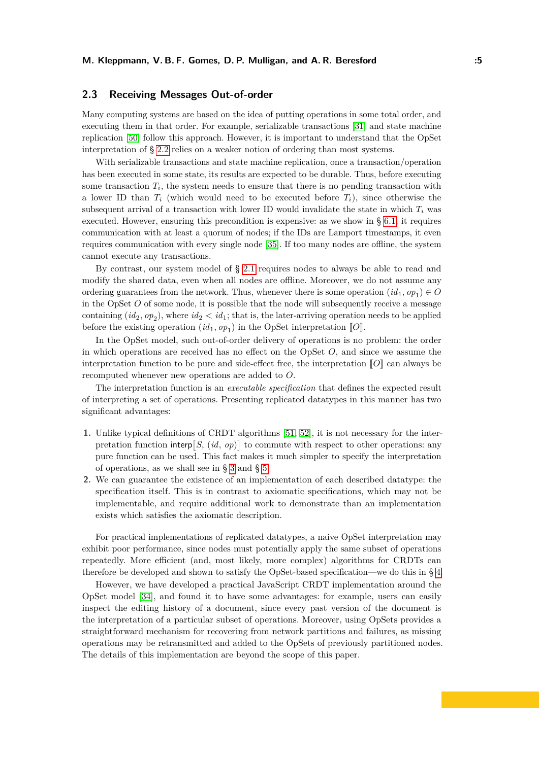# <span id="page-4-0"></span>**2.3 Receiving Messages Out-of-order**

Many computing systems are based on the idea of putting operations in some total order, and executing them in that order. For example, serializable transactions [\[31\]](#page-16-0) and state machine replication [\[50\]](#page-17-2) follow this approach. However, it is important to understand that the OpSet interpretation of § [2.2](#page-3-0) relies on a weaker notion of ordering than most systems.

With serializable transactions and state machine replication, once a transaction/operation has been executed in some state, its results are expected to be durable. Thus, before executing some transaction  $T_i$ , the system needs to ensure that there is no pending transaction with a lower ID than  $T_i$  (which would need to be executed before  $T_i$ ), since otherwise the subsequent arrival of a transaction with lower ID would invalidate the state in which  $T_i$  was executed. However, ensuring this precondition is expensive: as we show in § [6.1,](#page-12-1) it requires communication with at least a quorum of nodes; if the IDs are Lamport timestamps, it even requires communication with every single node [\[35\]](#page-16-5). If too many nodes are offline, the system cannot execute any transactions.

By contrast, our system model of § [2.1](#page-2-1) requires nodes to always be able to read and modify the shared data, even when all nodes are offline. Moreover, we do not assume any ordering guarantees from the network. Thus, whenever there is some operation  $(id_1, op_1) \in O$ in the OpSet *O* of some node, it is possible that the node will subsequently receive a message containing  $(id_2, op_2)$ , where  $id_2 < id_1$ ; that is, the later-arriving operation needs to be applied before the existing operation  $(id_1, op_1)$  in the OpSet interpretation  $\llbracket O \rrbracket$ .

In the OpSet model, such out-of-order delivery of operations is no problem: the order in which operations are received has no effect on the OpSet *O*, and since we assume the interpretation function to be pure and side-effect free, the interpretation  $\llbracket O \rrbracket$  can always be recomputed whenever new operations are added to *O*.

The interpretation function is an *executable specification* that defines the expected result of interpreting a set of operations. Presenting replicated datatypes in this manner has two significant advantages:

- **1.** Unlike typical definitions of CRDT algorithms [\[51,](#page-18-2) [52\]](#page-18-3), it is not necessary for the interpretation function interp  $[S, (id, op)]$  to commute with respect to other operations: any pure function can be used. This fact makes it much simpler to specify the interpretation of operations, as we shall see in § [3](#page-5-0) and § [5.](#page-9-0)
- **2.** We can guarantee the existence of an implementation of each described datatype: the specification itself. This is in contrast to axiomatic specifications, which may not be implementable, and require additional work to demonstrate than an implementation exists which satisfies the axiomatic description.

For practical implementations of replicated datatypes, a naive OpSet interpretation may exhibit poor performance, since nodes must potentially apply the same subset of operations repeatedly. More efficient (and, most likely, more complex) algorithms for CRDTs can therefore be developed and shown to satisfy the OpSet-based specification—we do this in § [4.](#page-7-0)

However, we have developed a practical JavaScript CRDT implementation around the OpSet model [\[34\]](#page-16-7), and found it to have some advantages: for example, users can easily inspect the editing history of a document, since every past version of the document is the interpretation of a particular subset of operations. Moreover, using OpSets provides a straightforward mechanism for recovering from network partitions and failures, as missing operations may be retransmitted and added to the OpSets of previously partitioned nodes. The details of this implementation are beyond the scope of this paper.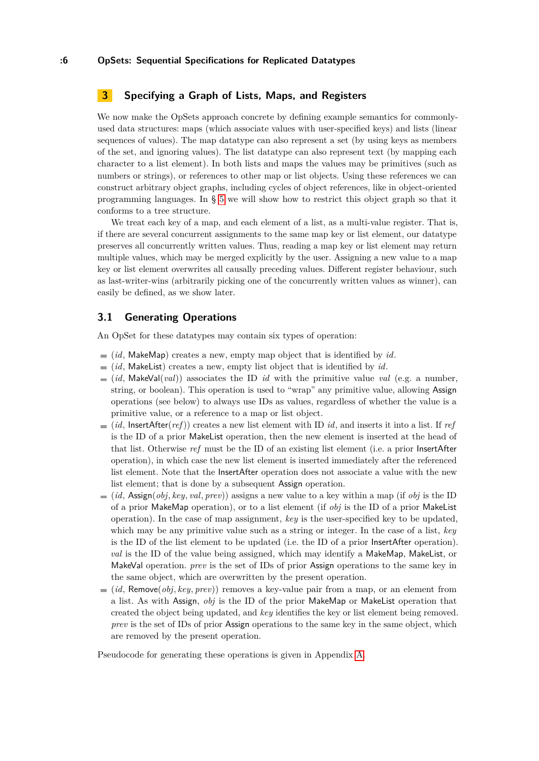#### **:6 OpSets: Sequential Specifications for Replicated Datatypes**

# <span id="page-5-0"></span>**3 Specifying a Graph of Lists, Maps, and Registers**

We now make the OpSets approach concrete by defining example semantics for commonlyused data structures: maps (which associate values with user-specified keys) and lists (linear sequences of values). The map datatype can also represent a set (by using keys as members of the set, and ignoring values). The list datatype can also represent text (by mapping each character to a list element). In both lists and maps the values may be primitives (such as numbers or strings), or references to other map or list objects. Using these references we can construct arbitrary object graphs, including cycles of object references, like in object-oriented programming languages. In § [5](#page-9-0) we will show how to restrict this object graph so that it conforms to a tree structure.

We treat each key of a map, and each element of a list, as a multi-value register. That is, if there are several concurrent assignments to the same map key or list element, our datatype preserves all concurrently written values. Thus, reading a map key or list element may return multiple values, which may be merged explicitly by the user. Assigning a new value to a map key or list element overwrites all causally preceding values. Different register behaviour, such as last-writer-wins (arbitrarily picking one of the concurrently written values as winner), can easily be defined, as we show later.

## **3.1 Generating Operations**

An OpSet for these datatypes may contain six types of operation:

- $(i\dot{d}, \text{MakeMap})$  creates a new, empty map object that is identified by *id*.
- $(i\,,$  MakeList) creates a new, empty list object that is identified by *id*.
- $(id, \text{MakeVal}(val))$  associates the ID *id* with the primitive value *val* (e.g. a number, string, or boolean). This operation is used to "wrap" any primitive value, allowing Assign operations (see below) to always use IDs as values, regardless of whether the value is a primitive value, or a reference to a map or list object.
- $(id, \text{InsertAfter}(ref))$  creates a new list element with ID *id*, and inserts it into a list. If *ref* is the ID of a prior MakeList operation, then the new element is inserted at the head of that list. Otherwise *ref* must be the ID of an existing list element (i.e. a prior InsertAfter operation), in which case the new list element is inserted immediately after the referenced list element. Note that the InsertAfter operation does not associate a value with the new list element; that is done by a subsequent Assign operation.
- $(id, \text{Assign}(obj, key, val, prev))$  assigns a new value to a key within a map (if *obj* is the ID of a prior MakeMap operation), or to a list element (if *obj* is the ID of a prior MakeList operation). In the case of map assignment, *key* is the user-specified key to be updated, which may be any primitive value such as a string or integer. In the case of a list, *key* is the ID of the list element to be updated (i.e. the ID of a prior InsertAfter operation). *val* is the ID of the value being assigned, which may identify a MakeMap, MakeList, or MakeVal operation. *prev* is the set of IDs of prior Assign operations to the same key in the same object, which are overwritten by the present operation.
- $(id,$  Remove(*obj*,  $key,$  *prev*)) removes a key-value pair from a map, or an element from a list. As with Assign, *obj* is the ID of the prior MakeMap or MakeList operation that created the object being updated, and *key* identifies the key or list element being removed. *prev* is the set of IDs of prior Assign operations to the same key in the same object, which are removed by the present operation.

Pseudocode for generating these operations is given in Appendix [A.](#page-19-0)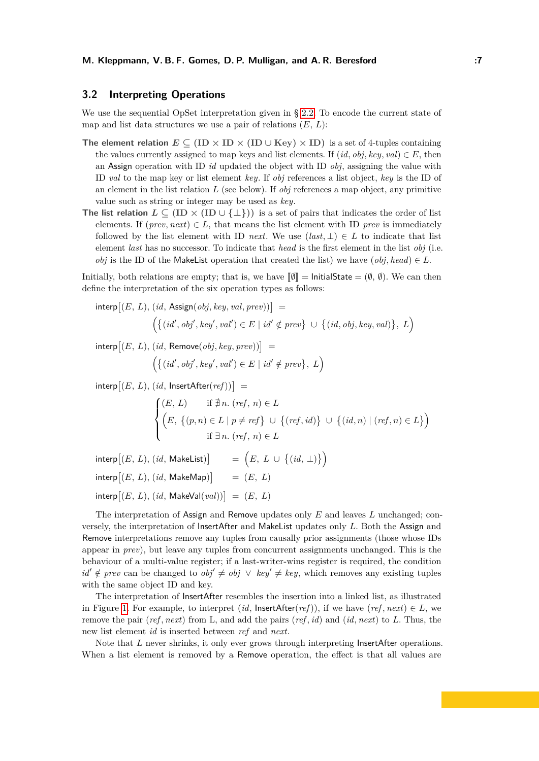# <span id="page-6-0"></span>**3.2 Interpreting Operations**

We use the sequential OpSet interpretation given in § [2.2.](#page-3-0) To encode the current state of map and list data structures we use a pair of relations (*E, L*):

- **The element relation**  $E \subseteq (\text{ID} \times \text{ID} \times (\text{ID} \cup \text{Key}) \times \text{ID})$  is a set of 4-tuples containing the values currently assigned to map keys and list elements. If  $(id, obi, kev, val) \in E$ , then an Assign operation with ID *id* updated the object with ID *obj*, assigning the value with ID *val* to the map key or list element *key*. If *obj* references a list object, *key* is the ID of an element in the list relation *L* (see below). If *obj* references a map object, any primitive value such as string or integer may be used as *key*.
- **The list relation**  $L \subset (\text{ID} \times (\text{ID} \cup \{\perp\}))$  is a set of pairs that indicates the order of list elements. If  $(\text{prev}, \text{next}) \in L$ , that means the list element with ID  $\text{prev}$  is immediately followed by the list element with ID *next*. We use  $(last, \perp) \in L$  to indicate that list element *last* has no successor. To indicate that *head* is the first element in the list *obj* (i.e. *obj* is the ID of the MakeList operation that created the list) we have  $(obj, head) \in L$ .

Initially, both relations are empty; that is, we have  $[\![\emptyset]\!] =$  InitialState =  $(\emptyset, \emptyset)$ . We can then define the interpretation of the six operation types as follows:

$$
\begin{aligned}\n\text{interp}\big[(E, L), (id, \text{Assign}(obj, key, val, prev))\big] &= \\
&\left(\big\{(id', obj', key', val') \in E \mid id' \notin prev\big\} \cup \big\{(id, obj, key, val)\big\}, L\right)\n\end{aligned}
$$

 $\text{interp}\left[(E, L), (id, \text{Remove}(obj, key, prev))\right] =$ 

$$
\left(\left\{(id', \textit{obj}', \textit{key}', \textit{val}') \in E \mid id' \notin \textit{prev}\right\}, L\right)
$$

 $\textsf{interp}\big[(E,\,L),\,(\textit{id},\,\textsf{InsertAfter}(\textit{ref}))\big]\;=\;$ 

$$
\begin{cases}\n(E, L) & \text{if } \nexists n. (ref, n) \in L \\
\left(E, \{(p, n) \in L \mid p \neq ref\} \cup \{(ref, id)\} \cup \{(id, n) \mid (ref, n) \in L\}\right) \\
\text{if } \exists n. (ref, n) \in L\n\end{cases}
$$

 $\textsf{interp}\big[(E,\,L),\,(\textit{id},\,\textsf{MakeList})\big] \qquad \ = \ \Big(E,\,L\,\cup\,\big\{(\textit{id},\,\bot)\big\}\Big)$  $\textsf{interp}\big[(E,\,L),\,(\textit{id},\,\mathsf{MakeMap})\big] \qquad = \ (E,\,L)$  $\textsf{interp}\big[(E,\,L),\,(\textit{id},\,\textsf{MakeVal}(\textit{val}))\big]\ =\ (E,\,L)\big)$ 

The interpretation of Assign and Remove updates only *E* and leaves *L* unchanged; conversely, the interpretation of InsertAfter and MakeList updates only *L*. Both the Assign and Remove interpretations remove any tuples from causally prior assignments (those whose IDs appear in *prev*), but leave any tuples from concurrent assignments unchanged. This is the behaviour of a multi-value register; if a last-writer-wins register is required, the condition *id*<sup> $\ell$ </sup> ∉ *prev* can be changed to *obj*<sup> $\ell$ </sup> ≠ *obj* ∨ *key*<sup> $\ell$ </sup> ≠ *key*, which removes any existing tuples with the same object ID and key.

The interpretation of InsertAfter resembles the insertion into a linked list, as illustrated in Figure [1.](#page-7-1) For example, to interpret (*id*, InsertAfter(*ref*)), if we have  $(ref, next) \in L$ , we remove the pair (*ref , next*) from L, and add the pairs (*ref , id*) and (*id, next*) to *L*. Thus, the new list element *id* is inserted between *ref* and *next*.

Note that *L* never shrinks, it only ever grows through interpreting **InsertAfter** operations. When a list element is removed by a Remove operation, the effect is that all values are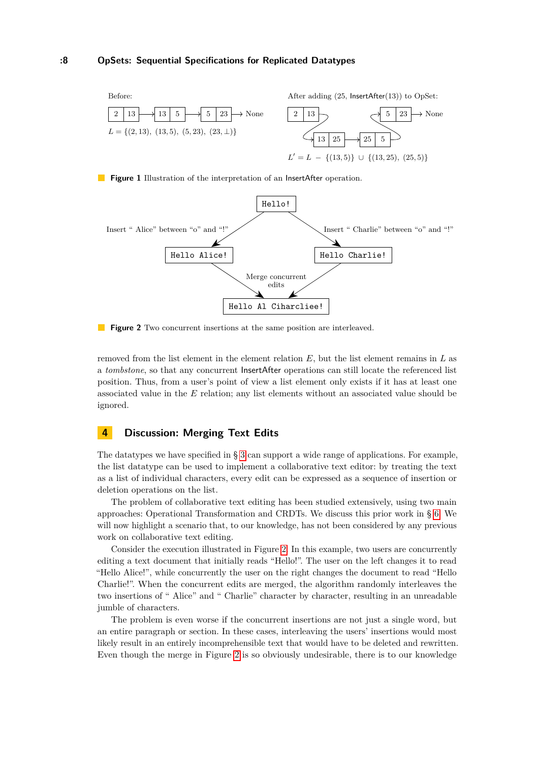<span id="page-7-1"></span>

**Figure 1** Illustration of the interpretation of an InsertAfter operation.

<span id="page-7-2"></span>

 $\mathcal{L}_{\mathcal{A}}$ **Figure 2** Two concurrent insertions at the same position are interleaved.

removed from the list element in the element relation *E*, but the list element remains in *L* as a *tombstone*, so that any concurrent InsertAfter operations can still locate the referenced list position. Thus, from a user's point of view a list element only exists if it has at least one associated value in the *E* relation; any list elements without an associated value should be ignored.

# <span id="page-7-0"></span>**4 Discussion: Merging Text Edits**

The datatypes we have specified in § [3](#page-5-0) can support a wide range of applications. For example, the list datatype can be used to implement a collaborative text editor: by treating the text as a list of individual characters, every edit can be expressed as a sequence of insertion or deletion operations on the list.

The problem of collaborative text editing has been studied extensively, using two main approaches: Operational Transformation and CRDTs. We discuss this prior work in § [6.](#page-12-0) We will now highlight a scenario that, to our knowledge, has not been considered by any previous work on collaborative text editing.

Consider the execution illustrated in Figure [2.](#page-7-2) In this example, two users are concurrently editing a text document that initially reads "Hello!". The user on the left changes it to read "Hello Alice!", while concurrently the user on the right changes the document to read "Hello Charlie!". When the concurrent edits are merged, the algorithm randomly interleaves the two insertions of " Alice" and " Charlie" character by character, resulting in an unreadable jumble of characters.

The problem is even worse if the concurrent insertions are not just a single word, but an entire paragraph or section. In these cases, interleaving the users' insertions would most likely result in an entirely incomprehensible text that would have to be deleted and rewritten. Even though the merge in Figure [2](#page-7-2) is so obviously undesirable, there is to our knowledge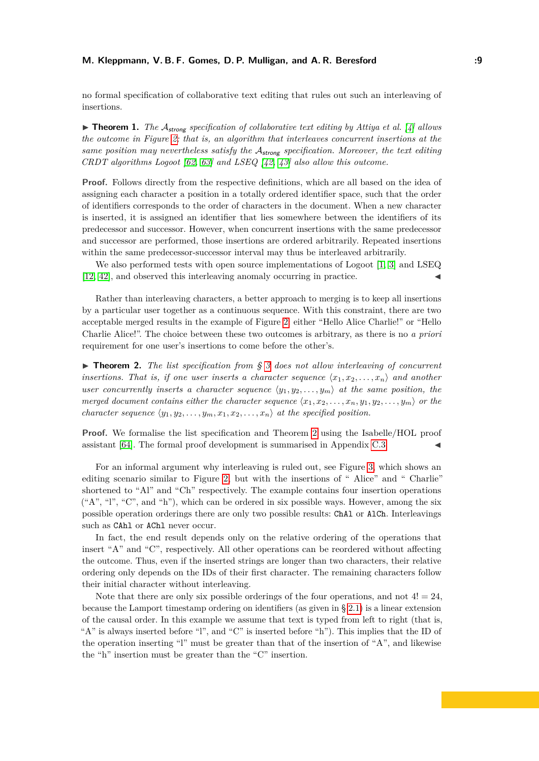#### **M. Kleppmann, V. B. F. Gomes, D. P. Mulligan, and A. R. Beresford :9**

no formal specification of collaborative text editing that rules out such an interleaving of insertions.

<span id="page-8-1"></span>▶ **Theorem 1.** *The*  $\mathcal{A}_{\text{strong}}$  *specification of collaborative text editing by Attiya et al.* [\[4\]](#page-15-3) allows *the outcome in Figure [2;](#page-7-2) that is, an algorithm that interleaves concurrent insertions at the same position may nevertheless satisfy the* Astrong *specification. Moreover, the text editing CRDT algorithms Logoot [\[62,](#page-18-5) [63\]](#page-18-6) and LSEQ [\[42,](#page-17-3) [43\]](#page-17-4) also allow this outcome.*

**Proof.** Follows directly from the respective definitions, which are all based on the idea of assigning each character a position in a totally ordered identifier space, such that the order of identifiers corresponds to the order of characters in the document. When a new character is inserted, it is assigned an identifier that lies somewhere between the identifiers of its predecessor and successor. However, when concurrent insertions with the same predecessor and successor are performed, those insertions are ordered arbitrarily. Repeated insertions within the same predecessor-successor interval may thus be interleaved arbitrarily.

We also performed tests with open source implementations of Logoot [\[1,](#page-14-0) [3\]](#page-15-4) and LSEQ [\[12,](#page-15-5) [42\]](#page-17-3), and observed this interleaving anomaly occurring in practice.

Rather than interleaving characters, a better approach to merging is to keep all insertions by a particular user together as a continuous sequence. With this constraint, there are two acceptable merged results in the example of Figure [2:](#page-7-2) either "Hello Alice Charlie!" or "Hello Charlie Alice!". The choice between these two outcomes is arbitrary, as there is no *a priori* requirement for one user's insertions to come before the other's.

<span id="page-8-0"></span>▶ **Theorem 2.** *The list specification from §* [3](#page-5-0) *does not allow interleaving of concurrent insertions. That is, if one user inserts a character sequence*  $\langle x_1, x_2, \ldots, x_n \rangle$  and another *user concurrently inserts a character sequence*  $\langle y_1, y_2, \ldots, y_m \rangle$  *at the same position, the merged document contains either the character sequence*  $\langle x_1, x_2, \ldots, x_n, y_1, y_2, \ldots, y_m \rangle$  *or the character sequence*  $\langle y_1, y_2, \ldots, y_m, x_1, x_2, \ldots, x_n \rangle$  *at the specified position.* 

**Proof.** We formalise the list specification and Theorem [2](#page-8-0) using the Isabelle/HOL proof assistant [\[64\]](#page-18-4). The formal proof development is summarised in Appendix [C.3.](#page-25-0)

For an informal argument why interleaving is ruled out, see Figure [3,](#page-9-1) which shows an editing scenario similar to Figure [2,](#page-7-2) but with the insertions of " Alice" and " Charlie" shortened to "Al" and "Ch" respectively. The example contains four insertion operations  $({}^{\omega}A^{\nu}, {}^{\omega}T^{\nu}, {}^{\omega}C^{\nu}$ , and  ${}^{\omega}h$ ), which can be ordered in six possible ways. However, among the six possible operation orderings there are only two possible results: ChAl or AlCh. Interleavings such as CAhl or AChl never occur.

In fact, the end result depends only on the relative ordering of the operations that insert "A" and "C", respectively. All other operations can be reordered without affecting the outcome. Thus, even if the inserted strings are longer than two characters, their relative ordering only depends on the IDs of their first character. The remaining characters follow their initial character without interleaving.

Note that there are only six possible orderings of the four operations, and not  $4! = 24$ , because the Lamport timestamp ordering on identifiers (as given in § [2.1\)](#page-2-1) is a linear extension of the causal order. In this example we assume that text is typed from left to right (that is, "A" is always inserted before "l", and "C" is inserted before "h"). This implies that the ID of the operation inserting "l" must be greater than that of the insertion of "A", and likewise the "h" insertion must be greater than the "C" insertion.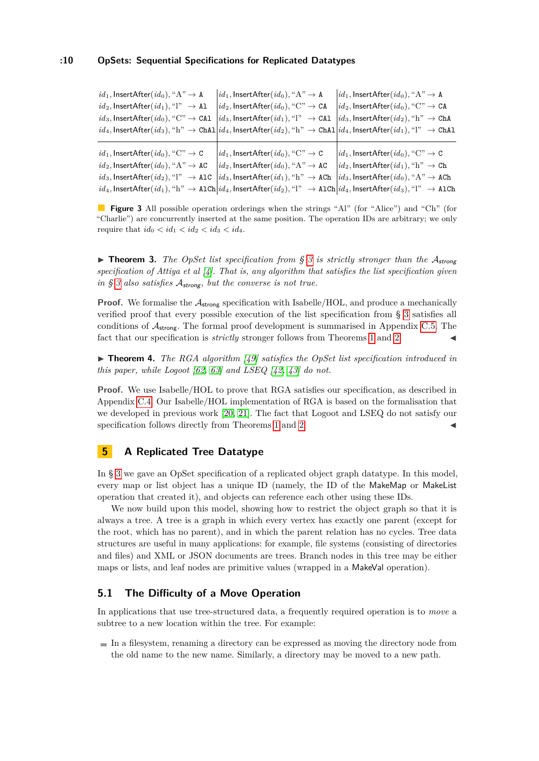<span id="page-9-1"></span>

| $id_1$ , Insert $\mathsf{After}(id_0), "A" \to \mathsf{A}$                         | $ id_1,$ Insert $\mathsf{After}(id_0), "A" \to \mathsf{A}$                                                                                                             | $ id_1$ , InsertAfter $(id_0)$ , "A" $\rightarrow$ A |
|------------------------------------------------------------------------------------|------------------------------------------------------------------------------------------------------------------------------------------------------------------------|------------------------------------------------------|
| $id_2$ , Insert $\mathsf{After}(id_1),\text{``}1\text{''} \rightarrow \mathtt{Al}$ | $ id_2 $ , Insert ${\sf After}(id_0),$ " $\mathrm{C}$ " $\rightarrow \texttt{CA}$                                                                                      | $id_2$ , InsertAfter( $id_0$ ), "C" $\rightarrow$ CA |
|                                                                                    | $id_3,$ InsertAfter $(id_0)$ , "C" $\rightarrow$ CA1 $ id_3$ , InsertAfter $(id_1)$ , "1" $\rightarrow$ CA1 $ id_3$ , InsertAfter $(id_2)$ , "h" $\rightarrow$ ChA     |                                                      |
|                                                                                    | $id_4$ , InsertAfter( $id_3$ ), "h" $\rightarrow$ ChA1 $ id_4$ , InsertAfter( $id_2$ ), "h" $\rightarrow$ ChA1 $ id_4$ , InsertAfter( $id_1$ ), "l" $\rightarrow$ ChA1 |                                                      |
| $id_1$ , Insert $\mathsf{After}(id_0),\text{``C''}\to\mathsf{C}$                   | $ id_1,$ Insert ${\sf After}(id_0),$ "C" $\to$ C                                                                                                                       | $id_1$ , InsertAfter( $id_0$ ), "C" $\rightarrow$ C  |

 $id_2$ , InsertAfter( $id_0$ )*,* "A"  $\rightarrow$  AC  $id_2$ , InsertAfter( $id_0$ )*,* "A"  $\rightarrow$  AC  $id_2$ , InsertAfter( $id_1$ )*,* "h"  $\rightarrow$  Ch  $id_3$ , InsertAfter $(id_2)$ ,  $``l" \rightarrow \texttt{A1C} \left | id_3 \text{, InsertAfter}(id_1), "h" \rightarrow \texttt{ACh} \left | id_3 \text{, InsertAfter}(id_0), "A" \rightarrow \texttt{ACh} \right |$  $id_4$ , InsertAfter $(id_1)$ , "h"  $\rightarrow$  AlCh $|id_4$ , InsertAfter $(id_2)$ , "l"  $\rightarrow$  AlCh $|id_4$ , InsertAfter $(id_3)$ , "l"  $\rightarrow$  AlCh

**Figure 3** All possible operation orderings when the strings "Al" (for "Alice") and "Ch" (for "Charlie") are concurrently inserted at the same position. The operation IDs are arbitrary; we only require that  $id_0 < id_1 < id_2 < id_3 < id_4$ .

▶ **Theorem [3](#page-5-0).** *The OpSet list specification from § 3 is strictly stronger than the*  $A_{\text{strong}}$ *specification of Attiya et al [\[4\]](#page-15-3). That is, any algorithm that satisfies the list specification given in § [3](#page-5-0) also satisfies* Astrong*, but the converse is not true.*

**Proof.** We formalise the  $A_{\text{strong}}$  specification with Isabelle/HOL, and produce a mechanically verified proof that every possible execution of the list specification from § [3](#page-5-0) satisfies all conditions of  $A_{\rm strong}$ . The formal proof development is summarised in Appendix [C.5.](#page-27-0) The fact that our specification is *strictly* stronger follows from Theorems [1](#page-8-1) and [2.](#page-8-0)

▶ **Theorem 4.** *The RGA algorithm [\[49\]](#page-17-5)* satisfies the OpSet list specification introduced in *this paper, while Logoot [\[62,](#page-18-5) [63\]](#page-18-6) and LSEQ [\[42,](#page-17-3) [43\]](#page-17-4) do not.*

**Proof.** We use Isabelle/HOL to prove that RGA satisfies our specification, as described in Appendix [C.4.](#page-26-0) Our Isabelle/HOL implementation of RGA is based on the formalisation that we developed in previous work [\[20,](#page-16-8) [21\]](#page-16-3). The fact that Logoot and LSEQ do not satisfy our specification follows directly from Theorems [1](#page-8-1) and [2.](#page-8-0)

# <span id="page-9-0"></span>**5 A Replicated Tree Datatype**

In § [3](#page-5-0) we gave an OpSet specification of a replicated object graph datatype. In this model, every map or list object has a unique ID (namely, the ID of the MakeMap or MakeList operation that created it), and objects can reference each other using these IDs.

We now build upon this model, showing how to restrict the object graph so that it is always a tree. A tree is a graph in which every vertex has exactly one parent (except for the root, which has no parent), and in which the parent relation has no cycles. Tree data structures are useful in many applications: for example, file systems (consisting of directories and files) and XML or JSON documents are trees. Branch nodes in this tree may be either maps or lists, and leaf nodes are primitive values (wrapped in a MakeVal operation).

# **5.1 The Difficulty of a Move Operation**

In applications that use tree-structured data, a frequently required operation is to *move* a subtree to a new location within the tree. For example:

In a filesystem, renaming a directory can be expressed as moving the directory node from the old name to the new name. Similarly, a directory may be moved to a new path.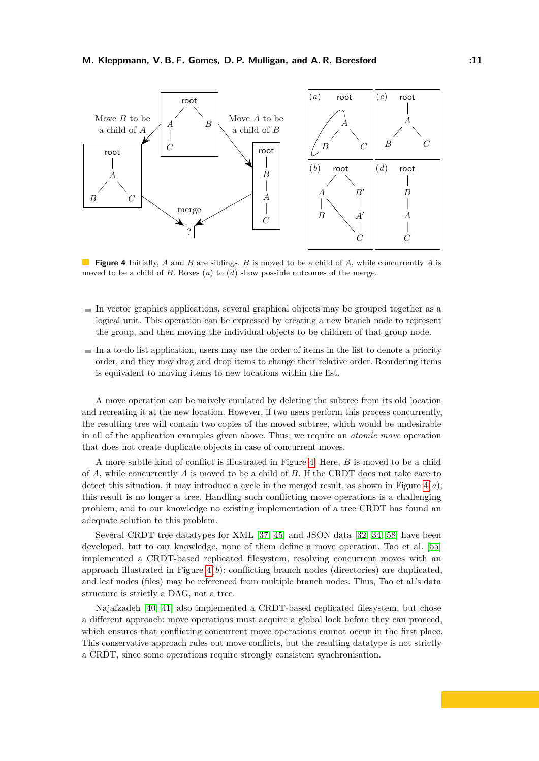<span id="page-10-0"></span>

**Figure 4** Initially, *A* and *B* are siblings. *B* is moved to be a child of *A*, while concurrently *A* is moved to be a child of *B*. Boxes (*a*) to (*d*) show possible outcomes of the merge.

- $\blacksquare$  In vector graphics applications, several graphical objects may be grouped together as a logical unit. This operation can be expressed by creating a new branch node to represent the group, and then moving the individual objects to be children of that group node.
- $\blacksquare$  In a to-do list application, users may use the order of items in the list to denote a priority order, and they may drag and drop items to change their relative order. Reordering items is equivalent to moving items to new locations within the list.

A move operation can be naively emulated by deleting the subtree from its old location and recreating it at the new location. However, if two users perform this process concurrently, the resulting tree will contain two copies of the moved subtree, which would be undesirable in all of the application examples given above. Thus, we require an *atomic move* operation that does not create duplicate objects in case of concurrent moves.

A more subtle kind of conflict is illustrated in Figure [4.](#page-10-0) Here, *B* is moved to be a child of *A*, while concurrently *A* is moved to be a child of *B*. If the CRDT does not take care to detect this situation, it may introduce a cycle in the merged result, as shown in Figure  $4(a)$ ; this result is no longer a tree. Handling such conflicting move operations is a challenging problem, and to our knowledge no existing implementation of a tree CRDT has found an adequate solution to this problem.

Several CRDT tree datatypes for XML [\[37,](#page-17-6) [45\]](#page-17-7) and JSON data [\[32,](#page-16-9) [34,](#page-16-7) [58\]](#page-18-7) have been developed, but to our knowledge, none of them define a move operation. Tao et al. [\[55\]](#page-18-8) implemented a CRDT-based replicated filesystem, resolving concurrent moves with an approach illustrated in Figure  $4(b)$ : conflicting branch nodes (directories) are duplicated, and leaf nodes (files) may be referenced from multiple branch nodes. Thus, Tao et al.'s data structure is strictly a DAG, not a tree.

Najafzadeh [\[40,](#page-17-0) [41\]](#page-17-1) also implemented a CRDT-based replicated filesystem, but chose a different approach: move operations must acquire a global lock before they can proceed, which ensures that conflicting concurrent move operations cannot occur in the first place. This conservative approach rules out move conflicts, but the resulting datatype is not strictly a CRDT, since some operations require strongly consistent synchronisation.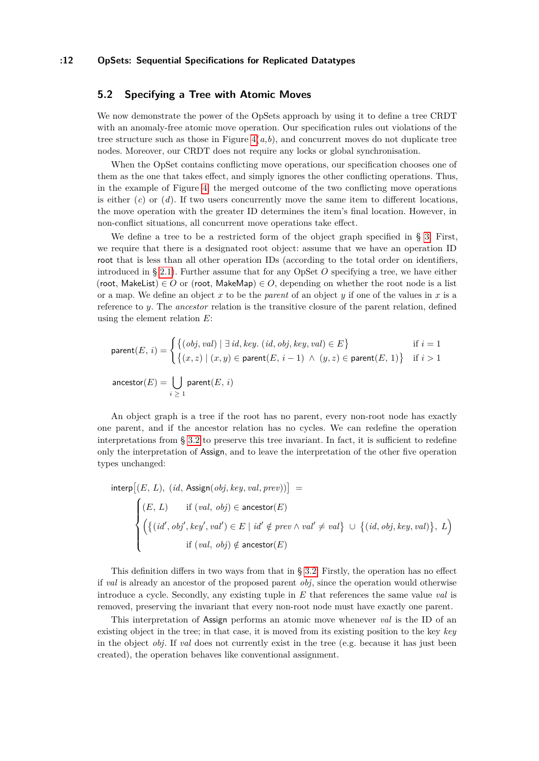#### **:12 OpSets: Sequential Specifications for Replicated Datatypes**

# **5.2 Specifying a Tree with Atomic Moves**

We now demonstrate the power of the OpSets approach by using it to define a tree CRDT with an anomaly-free atomic move operation. Our specification rules out violations of the tree structure such as those in Figure  $4(a,b)$ , and concurrent moves do not duplicate tree nodes. Moreover, our CRDT does not require any locks or global synchronisation.

When the OpSet contains conflicting move operations, our specification chooses one of them as the one that takes effect, and simply ignores the other conflicting operations. Thus, in the example of Figure [4,](#page-10-0) the merged outcome of the two conflicting move operations is either (*c*) or (*d*). If two users concurrently move the same item to different locations, the move operation with the greater ID determines the item's final location. However, in non-conflict situations, all concurrent move operations take effect.

We define a tree to be a restricted form of the object graph specified in § [3.](#page-5-0) First, we require that there is a designated root object: assume that we have an operation ID root that is less than all other operation IDs (according to the total order on identifiers, introduced in § [2.1\)](#page-2-1). Further assume that for any OpSet *O* specifying a tree, we have either (root, MakeList)  $\in$  *O* or (root, MakeMap)  $\in$  *O*, depending on whether the root node is a list or a map. We define an object *x* to be the *parent* of an object *y* if one of the values in *x* is a reference to *y*. The *ancestor* relation is the transitive closure of the parent relation, defined using the element relation *E*:

$$
\text{parent}(E, i) = \begin{cases} \{(obj, val) \mid \exists id, key. (id, obj, key, val) \in E\} & \text{if } i = 1\\ \{(x, z) \mid (x, y) \in \text{parent}(E, i - 1) \land (y, z) \in \text{parent}(E, 1)\} & \text{if } i > 1 \end{cases}
$$
\n
$$
\text{ancestor}(E) = \bigcup_{i \ge 1} \text{parent}(E, i)
$$

An object graph is a tree if the root has no parent, every non-root node has exactly one parent, and if the ancestor relation has no cycles. We can redefine the operation interpretations from § [3.2](#page-6-0) to preserve this tree invariant. In fact, it is sufficient to redefine only the interpretation of Assign, and to leave the interpretation of the other five operation types unchanged:

$$
\begin{aligned}\n\text{interp}\big[(E, L), (id, \text{Assign}(obj, key, val, prev))\big] &= \\
&\left\{ \begin{aligned}\n(E, L) & \text{if } (val, \text{ obj}) \in \text{ancestor}(E) \\
\left( \{(id', \text{ obj}', \text{ key}', \text{val}') \in E \mid id' \notin prev \land val' \neq val \} \cup \{(id, \text{ obj}, \text{ key}, \text{val})\}, L \right) \\
& \text{if } (val, \text{ obj}) \notin \text{ancestor}(E)\n\end{aligned}\n\end{aligned}
$$

This definition differs in two ways from that in § [3.2.](#page-6-0) Firstly, the operation has no effect if *val* is already an ancestor of the proposed parent *obj*, since the operation would otherwise introduce a cycle. Secondly, any existing tuple in *E* that references the same value *val* is removed, preserving the invariant that every non-root node must have exactly one parent.

This interpretation of Assign performs an atomic move whenever *val* is the ID of an existing object in the tree; in that case, it is moved from its existing position to the key *key* in the object *obj*. If *val* does not currently exist in the tree (e.g. because it has just been created), the operation behaves like conventional assignment.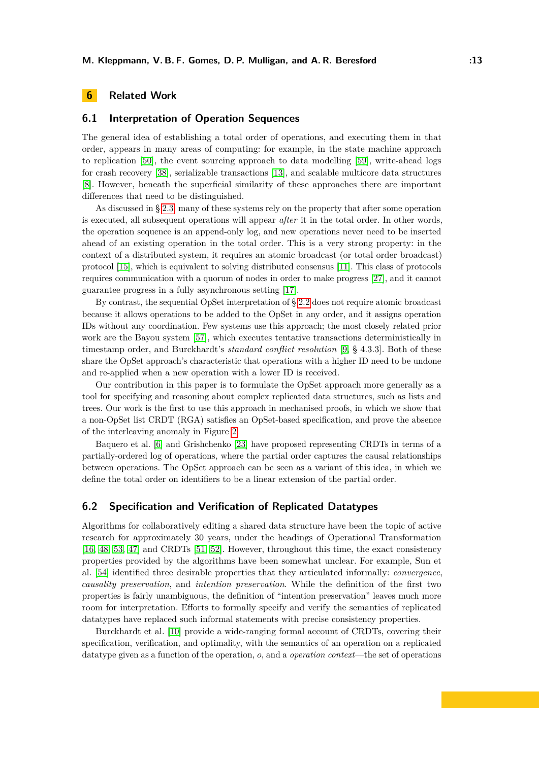# <span id="page-12-0"></span>**6 Related Work**

#### <span id="page-12-1"></span>**6.1 Interpretation of Operation Sequences**

The general idea of establishing a total order of operations, and executing them in that order, appears in many areas of computing: for example, in the state machine approach to replication [\[50\]](#page-17-2), the event sourcing approach to data modelling [\[59\]](#page-18-9), write-ahead logs for crash recovery [\[38\]](#page-17-8), serializable transactions [\[13\]](#page-15-0), and scalable multicore data structures [\[8\]](#page-15-6). However, beneath the superficial similarity of these approaches there are important differences that need to be distinguished.

As discussed in § [2.3,](#page-4-0) many of these systems rely on the property that after some operation is executed, all subsequent operations will appear *after* it in the total order. In other words, the operation sequence is an append-only log, and new operations never need to be inserted ahead of an existing operation in the total order. This is a very strong property: in the context of a distributed system, it requires an atomic broadcast (or total order broadcast) protocol [\[15\]](#page-15-7), which is equivalent to solving distributed consensus [\[11\]](#page-15-8). This class of protocols requires communication with a quorum of nodes in order to make progress [\[27\]](#page-16-10), and it cannot guarantee progress in a fully asynchronous setting [\[17\]](#page-15-9).

By contrast, the sequential OpSet interpretation of § [2.2](#page-3-0) does not require atomic broadcast because it allows operations to be added to the OpSet in any order, and it assigns operation IDs without any coordination. Few systems use this approach; the most closely related prior work are the Bayou system [\[57\]](#page-18-10), which executes tentative transactions deterministically in timestamp order, and Burckhardt's *standard conflict resolution* [\[9,](#page-15-2) § 4.3.3]. Both of these share the OpSet approach's characteristic that operations with a higher ID need to be undone and re-applied when a new operation with a lower ID is received.

Our contribution in this paper is to formulate the OpSet approach more generally as a tool for specifying and reasoning about complex replicated data structures, such as lists and trees. Our work is the first to use this approach in mechanised proofs, in which we show that a non-OpSet list CRDT (RGA) satisfies an OpSet-based specification, and prove the absence of the interleaving anomaly in Figure [2.](#page-7-2)

Baquero et al. [\[6\]](#page-15-10) and Grishchenko [\[23\]](#page-16-11) have proposed representing CRDTs in terms of a partially-ordered log of operations, where the partial order captures the causal relationships between operations. The OpSet approach can be seen as a variant of this idea, in which we define the total order on identifiers to be a linear extension of the partial order.

## **6.2 Specification and Verification of Replicated Datatypes**

Algorithms for collaboratively editing a shared data structure have been the topic of active research for approximately 30 years, under the headings of Operational Transformation [\[16,](#page-15-11) [48,](#page-17-9) [53,](#page-18-11) [47\]](#page-17-10) and CRDTs [\[51,](#page-18-2) [52\]](#page-18-3). However, throughout this time, the exact consistency properties provided by the algorithms have been somewhat unclear. For example, Sun et al. [\[54\]](#page-18-12) identified three desirable properties that they articulated informally: *convergence*, *causality preservation*, and *intention preservation*. While the definition of the first two properties is fairly unambiguous, the definition of "intention preservation" leaves much more room for interpretation. Efforts to formally specify and verify the semantics of replicated datatypes have replaced such informal statements with precise consistency properties.

Burckhardt et al. [\[10\]](#page-15-12) provide a wide-ranging formal account of CRDTs, covering their specification, verification, and optimality, with the semantics of an operation on a replicated datatype given as a function of the operation, *o*, and a *operation context*—the set of operations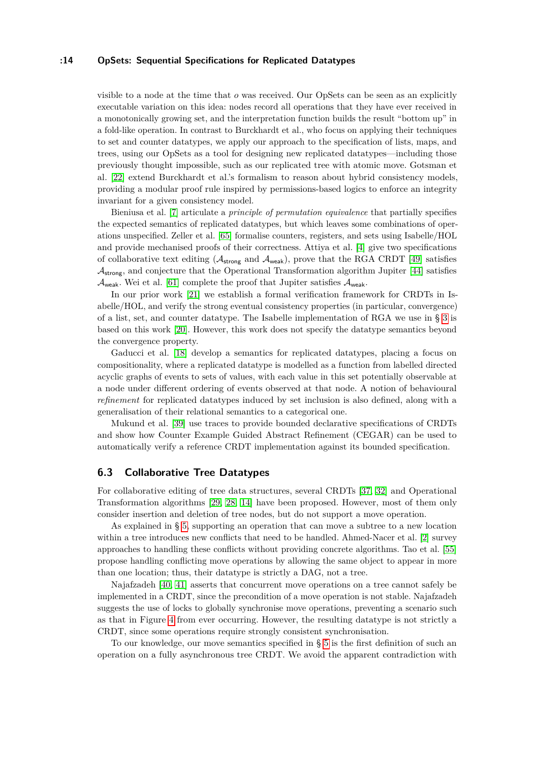#### **:14 OpSets: Sequential Specifications for Replicated Datatypes**

visible to a node at the time that *o* was received. Our OpSets can be seen as an explicitly executable variation on this idea: nodes record all operations that they have ever received in a monotonically growing set, and the interpretation function builds the result "bottom up" in a fold-like operation. In contrast to Burckhardt et al., who focus on applying their techniques to set and counter datatypes, we apply our approach to the specification of lists, maps, and trees, using our OpSets as a tool for designing new replicated datatypes—including those previously thought impossible, such as our replicated tree with atomic move. Gotsman et al. [\[22\]](#page-16-12) extend Burckhardt et al.'s formalism to reason about hybrid consistency models, providing a modular proof rule inspired by permissions-based logics to enforce an integrity invariant for a given consistency model.

Bieniusa et al. [\[7\]](#page-15-13) articulate a *principle of permutation equivalence* that partially specifies the expected semantics of replicated datatypes, but which leaves some combinations of operations unspecified. Zeller et al. [\[65\]](#page-18-13) formalise counters, registers, and sets using Isabelle/HOL and provide mechanised proofs of their correctness. Attiya et al. [\[4\]](#page-15-3) give two specifications of collaborative text editing  $(A_{\text{strong}}$  and  $A_{\text{weak}})$ , prove that the RGA CRDT [\[49\]](#page-17-5) satisfies  $\mathcal{A}_{\text{strong}}$ , and conjecture that the Operational Transformation algorithm Jupiter [\[44\]](#page-17-11) satisfies  $\mathcal{A}_{\text{weak}}$ . Wei et al. [\[61\]](#page-18-14) complete the proof that Jupiter satisfies  $\mathcal{A}_{\text{weak}}$ .

In our prior work [\[21\]](#page-16-3) we establish a formal verification framework for CRDTs in Isabelle/HOL, and verify the strong eventual consistency properties (in particular, convergence) of a list, set, and counter datatype. The Isabelle implementation of RGA we use in § [3](#page-5-0) is based on this work [\[20\]](#page-16-8). However, this work does not specify the datatype semantics beyond the convergence property.

Gaducci et al. [\[18\]](#page-15-14) develop a semantics for replicated datatypes, placing a focus on compositionality, where a replicated datatype is modelled as a function from labelled directed acyclic graphs of events to sets of values, with each value in this set potentially observable at a node under different ordering of events observed at that node. A notion of behavioural *refinement* for replicated datatypes induced by set inclusion is also defined, along with a generalisation of their relational semantics to a categorical one.

Mukund et al. [\[39\]](#page-17-12) use traces to provide bounded declarative specifications of CRDTs and show how Counter Example Guided Abstract Refinement (CEGAR) can be used to automatically verify a reference CRDT implementation against its bounded specification.

# **6.3 Collaborative Tree Datatypes**

For collaborative editing of tree data structures, several CRDTs [\[37,](#page-17-6) [32\]](#page-16-9) and Operational Transformation algorithms [\[29,](#page-16-13) [28,](#page-16-14) [14\]](#page-15-15) have been proposed. However, most of them only consider insertion and deletion of tree nodes, but do not support a move operation.

As explained in § [5,](#page-9-0) supporting an operation that can move a subtree to a new location within a tree introduces new conflicts that need to be handled. Ahmed-Nacer et al. [\[2\]](#page-15-16) survey approaches to handling these conflicts without providing concrete algorithms. Tao et al. [\[55\]](#page-18-8) propose handling conflicting move operations by allowing the same object to appear in more than one location; thus, their datatype is strictly a DAG, not a tree.

Najafzadeh [\[40,](#page-17-0) [41\]](#page-17-1) asserts that concurrent move operations on a tree cannot safely be implemented in a CRDT, since the precondition of a move operation is not stable. Najafzadeh suggests the use of locks to globally synchronise move operations, preventing a scenario such as that in Figure [4](#page-10-0) from ever occurring. However, the resulting datatype is not strictly a CRDT, since some operations require strongly consistent synchronisation.

To our knowledge, our move semantics specified in § [5](#page-9-0) is the first definition of such an operation on a fully asynchronous tree CRDT. We avoid the apparent contradiction with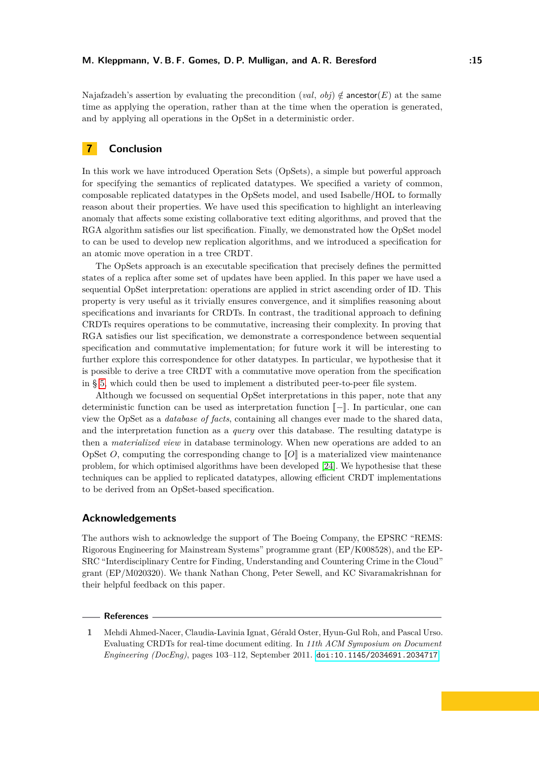Najafzadeh's assertion by evaluating the precondition (*val*, *obj*)  $\notin$  ancestor(*E*) at the same time as applying the operation, rather than at the time when the operation is generated, and by applying all operations in the OpSet in a deterministic order.

# **7 Conclusion**

In this work we have introduced Operation Sets (OpSets), a simple but powerful approach for specifying the semantics of replicated datatypes. We specified a variety of common, composable replicated datatypes in the OpSets model, and used Isabelle/HOL to formally reason about their properties. We have used this specification to highlight an interleaving anomaly that affects some existing collaborative text editing algorithms, and proved that the RGA algorithm satisfies our list specification. Finally, we demonstrated how the OpSet model to can be used to develop new replication algorithms, and we introduced a specification for an atomic move operation in a tree CRDT.

The OpSets approach is an executable specification that precisely defines the permitted states of a replica after some set of updates have been applied. In this paper we have used a sequential OpSet interpretation: operations are applied in strict ascending order of ID. This property is very useful as it trivially ensures convergence, and it simplifies reasoning about specifications and invariants for CRDTs. In contrast, the traditional approach to defining CRDTs requires operations to be commutative, increasing their complexity. In proving that RGA satisfies our list specification, we demonstrate a correspondence between sequential specification and commutative implementation; for future work it will be interesting to further explore this correspondence for other datatypes. In particular, we hypothesise that it is possible to derive a tree CRDT with a commutative move operation from the specification in § [5,](#page-9-0) which could then be used to implement a distributed peer-to-peer file system.

Although we focussed on sequential OpSet interpretations in this paper, note that any deterministic function can be used as interpretation function  $\llbracket -\rrbracket$ . In particular, one can view the OpSet as a *database of facts*, containing all changes ever made to the shared data, and the interpretation function as a *query* over this database. The resulting datatype is then a *materialized view* in database terminology. When new operations are added to an OpSet *O*, computing the corresponding change to  $\llbracket O \rrbracket$  is a materialized view maintenance problem, for which optimised algorithms have been developed [\[24\]](#page-16-15). We hypothesise that these techniques can be applied to replicated datatypes, allowing efficient CRDT implementations to be derived from an OpSet-based specification.

# **Acknowledgements**

The authors wish to acknowledge the support of The Boeing Company, the EPSRC "REMS: Rigorous Engineering for Mainstream Systems" programme grant (EP/K008528), and the EP-SRC "Interdisciplinary Centre for Finding, Understanding and Countering Crime in the Cloud" grant (EP/M020320). We thank Nathan Chong, Peter Sewell, and KC Sivaramakrishnan for their helpful feedback on this paper.

#### **References**

<span id="page-14-0"></span>**1** Mehdi Ahmed-Nacer, Claudia-Lavinia Ignat, Gérald Oster, Hyun-Gul Roh, and Pascal Urso. Evaluating CRDTs for real-time document editing. In *11th ACM Symposium on Document Engineering (DocEng)*, pages 103–112, September 2011. [doi:10.1145/2034691.2034717](http://dx.doi.org/10.1145/2034691.2034717).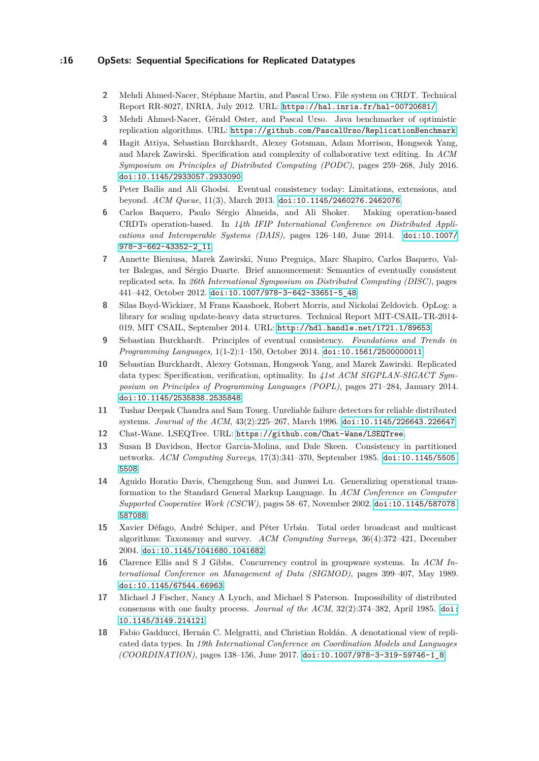## **:16 OpSets: Sequential Specifications for Replicated Datatypes**

- <span id="page-15-16"></span>**2** Mehdi Ahmed-Nacer, Stéphane Martin, and Pascal Urso. File system on CRDT. Technical Report RR-8027, INRIA, July 2012. URL: <https://hal.inria.fr/hal-00720681/>.
- <span id="page-15-4"></span>**3** Mehdi Ahmed-Nacer, Gérald Oster, and Pascal Urso. Java benchmarker of optimistic replication algorithms. URL: <https://github.com/PascalUrso/ReplicationBenchmark>.
- <span id="page-15-3"></span>**4** Hagit Attiya, Sebastian Burckhardt, Alexey Gotsman, Adam Morrison, Hongseok Yang, and Marek Zawirski. Specification and complexity of collaborative text editing. In *ACM Symposium on Principles of Distributed Computing (PODC)*, pages 259–268, July 2016. [doi:10.1145/2933057.2933090](http://dx.doi.org/10.1145/2933057.2933090).
- <span id="page-15-1"></span>**5** Peter Bailis and Ali Ghodsi. Eventual consistency today: Limitations, extensions, and beyond. *ACM Queue*, 11(3), March 2013. [doi:10.1145/2460276.2462076](http://dx.doi.org/10.1145/2460276.2462076).
- <span id="page-15-10"></span>**6** Carlos Baquero, Paulo Sérgio Almeida, and Ali Shoker. Making operation-based CRDTs operation-based. In *14th IFIP International Conference on Distributed Applications and Interoperable Systems (DAIS)*, pages 126–140, June 2014. [doi:10.1007/](http://dx.doi.org/10.1007/978-3-662-43352-2_11) [978-3-662-43352-2\\_11](http://dx.doi.org/10.1007/978-3-662-43352-2_11).
- <span id="page-15-13"></span>**7** Annette Bieniusa, Marek Zawirski, Nuno Preguiça, Marc Shapiro, Carlos Baquero, Valter Balegas, and Sérgio Duarte. Brief announcement: Semantics of eventually consistent replicated sets. In *26th International Symposium on Distributed Computing (DISC)*, pages 441–442, October 2012. [doi:10.1007/978-3-642-33651-5\\_48](http://dx.doi.org/10.1007/978-3-642-33651-5_48).
- <span id="page-15-6"></span>**8** Silas Boyd-Wickizer, M Frans Kaashoek, Robert Morris, and Nickolai Zeldovich. OpLog: a library for scaling update-heavy data structures. Technical Report MIT-CSAIL-TR-2014- 019, MIT CSAIL, September 2014. URL: <http://hdl.handle.net/1721.1/89653>.
- <span id="page-15-2"></span>**9** Sebastian Burckhardt. Principles of eventual consistency. *Foundations and Trends in Programming Languages*, 1(1-2):1–150, October 2014. [doi:10.1561/2500000011](http://dx.doi.org/10.1561/2500000011).
- <span id="page-15-12"></span>**10** Sebastian Burckhardt, Alexey Gotsman, Hongseok Yang, and Marek Zawirski. Replicated data types: Specification, verification, optimality. In *41st ACM SIGPLAN-SIGACT Symposium on Principles of Programming Languages (POPL)*, pages 271–284, January 2014. [doi:10.1145/2535838.2535848](http://dx.doi.org/10.1145/2535838.2535848).
- <span id="page-15-8"></span>**11** Tushar Deepak Chandra and Sam Toueg. Unreliable failure detectors for reliable distributed systems. *Journal of the ACM*, 43(2):225–267, March 1996. [doi:10.1145/226643.226647](http://dx.doi.org/10.1145/226643.226647).
- <span id="page-15-5"></span>**12** Chat-Wane. LSEQTree. URL: <https://github.com/Chat-Wane/LSEQTree>.
- <span id="page-15-0"></span>**13** Susan B Davidson, Hector Garcia-Molina, and Dale Skeen. Consistency in partitioned networks. *ACM Computing Surveys*, 17(3):341–370, September 1985. [doi:10.1145/5505.](http://dx.doi.org/10.1145/5505.5508) [5508](http://dx.doi.org/10.1145/5505.5508).
- <span id="page-15-15"></span>**14** Aguido Horatio Davis, Chengzheng Sun, and Junwei Lu. Generalizing operational transformation to the Standard General Markup Language. In *ACM Conference on Computer Supported Cooperative Work (CSCW)*, pages 58–67, November 2002. [doi:10.1145/587078.](http://dx.doi.org/10.1145/587078.587088) [587088](http://dx.doi.org/10.1145/587078.587088).
- <span id="page-15-7"></span>**15** Xavier Défago, André Schiper, and Péter Urbán. Total order broadcast and multicast algorithms: Taxonomy and survey. *ACM Computing Surveys*, 36(4):372–421, December 2004. [doi:10.1145/1041680.1041682](http://dx.doi.org/10.1145/1041680.1041682).
- <span id="page-15-11"></span>**16** Clarence Ellis and S J Gibbs. Concurrency control in groupware systems. In *ACM International Conference on Management of Data (SIGMOD)*, pages 399–407, May 1989. [doi:10.1145/67544.66963](http://dx.doi.org/10.1145/67544.66963).
- <span id="page-15-9"></span>**17** Michael J Fischer, Nancy A Lynch, and Michael S Paterson. Impossibility of distributed consensus with one faulty process. *Journal of the ACM*, 32(2):374–382, April 1985. [doi:](http://dx.doi.org/10.1145/3149.214121) [10.1145/3149.214121](http://dx.doi.org/10.1145/3149.214121).
- <span id="page-15-14"></span>**18** Fabio Gadducci, Hernán C. Melgratti, and Christian Roldán. A denotational view of replicated data types. In *19th International Conference on Coordination Models and Languages (COORDINATION)*, pages 138–156, June 2017. [doi:10.1007/978-3-319-59746-1\\_8](http://dx.doi.org/10.1007/978-3-319-59746-1_8).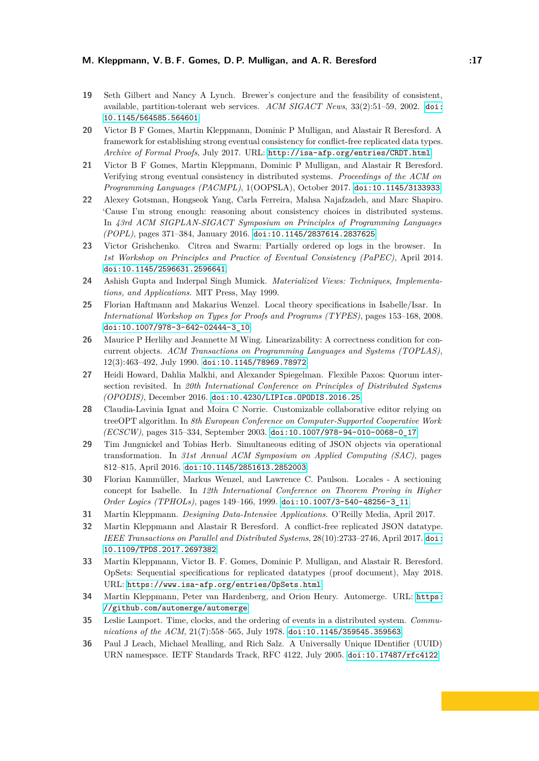- <span id="page-16-2"></span>**19** Seth Gilbert and Nancy A Lynch. Brewer's conjecture and the feasibility of consistent, available, partition-tolerant web services. *ACM SIGACT News*, 33(2):51–59, 2002. [doi:](http://dx.doi.org/10.1145/564585.564601) [10.1145/564585.564601](http://dx.doi.org/10.1145/564585.564601).
- <span id="page-16-8"></span>**20** Victor B F Gomes, Martin Kleppmann, Dominic P Mulligan, and Alastair R Beresford. A framework for establishing strong eventual consistency for conflict-free replicated data types. *Archive of Formal Proofs*, July 2017. URL: <http://isa-afp.org/entries/CRDT.html>.
- <span id="page-16-3"></span>**21** Victor B F Gomes, Martin Kleppmann, Dominic P Mulligan, and Alastair R Beresford. Verifying strong eventual consistency in distributed systems. *Proceedings of the ACM on Programming Languages (PACMPL)*, 1(OOPSLA), October 2017. [doi:10.1145/3133933](http://dx.doi.org/10.1145/3133933).
- <span id="page-16-12"></span>**22** Alexey Gotsman, Hongseok Yang, Carla Ferreira, Mahsa Najafzadeh, and Marc Shapiro. 'Cause I'm strong enough: reasoning about consistency choices in distributed systems. In *43rd ACM SIGPLAN-SIGACT Symposium on Principles of Programming Languages (POPL)*, pages 371–384, January 2016. [doi:10.1145/2837614.2837625](http://dx.doi.org/10.1145/2837614.2837625).
- <span id="page-16-11"></span>**23** Victor Grishchenko. Citrea and Swarm: Partially ordered op logs in the browser. In *1st Workshop on Principles and Practice of Eventual Consistency (PaPEC)*, April 2014. [doi:10.1145/2596631.2596641](http://dx.doi.org/10.1145/2596631.2596641).
- <span id="page-16-15"></span>**24** Ashish Gupta and Inderpal Singh Mumick. *Materialized Views: Techniques, Implementations, and Applications*. MIT Press, May 1999.
- <span id="page-16-17"></span>**25** Florian Haftmann and Makarius Wenzel. Local theory specifications in Isabelle/Isar. In *International Workshop on Types for Proofs and Programs (TYPES)*, pages 153–168, 2008. [doi:10.1007/978-3-642-02444-3\\_10](http://dx.doi.org/10.1007/978-3-642-02444-3_10).
- <span id="page-16-1"></span>**26** Maurice P Herlihy and Jeannette M Wing. Linearizability: A correctness condition for concurrent objects. *ACM Transactions on Programming Languages and Systems (TOPLAS)*, 12(3):463–492, July 1990. [doi:10.1145/78969.78972](http://dx.doi.org/10.1145/78969.78972).
- <span id="page-16-10"></span>**27** Heidi Howard, Dahlia Malkhi, and Alexander Spiegelman. Flexible Paxos: Quorum intersection revisited. In *20th International Conference on Principles of Distributed Systems (OPODIS)*, December 2016. [doi:10.4230/LIPIcs.OPODIS.2016.25](http://dx.doi.org/10.4230/LIPIcs.OPODIS.2016.25).
- <span id="page-16-14"></span>**28** Claudia-Lavinia Ignat and Moira C Norrie. Customizable collaborative editor relying on treeOPT algorithm. In *8th European Conference on Computer-Supported Cooperative Work (ECSCW)*, pages 315–334, September 2003. [doi:10.1007/978-94-010-0068-0\\_17](http://dx.doi.org/10.1007/978-94-010-0068-0_17).
- <span id="page-16-13"></span>**29** Tim Jungnickel and Tobias Herb. Simultaneous editing of JSON objects via operational transformation. In *31st Annual ACM Symposium on Applied Computing (SAC)*, pages 812–815, April 2016. [doi:10.1145/2851613.2852003](http://dx.doi.org/10.1145/2851613.2852003).
- <span id="page-16-16"></span>**30** Florian Kammüller, Markus Wenzel, and Lawrence C. Paulson. Locales - A sectioning concept for Isabelle. In *12th International Conference on Theorem Proving in Higher Order Logics (TPHOLs)*, pages 149–166, 1999. [doi:10.1007/3-540-48256-3\\_11](http://dx.doi.org/10.1007/3-540-48256-3_11).
- <span id="page-16-0"></span>**31** Martin Kleppmann. *Designing Data-Intensive Applications*. O'Reilly Media, April 2017.
- <span id="page-16-9"></span>**32** Martin Kleppmann and Alastair R Beresford. A conflict-free replicated JSON datatype. *IEEE Transactions on Parallel and Distributed Systems*, 28(10):2733–2746, April 2017. [doi:](http://dx.doi.org/10.1109/TPDS.2017.2697382) [10.1109/TPDS.2017.2697382](http://dx.doi.org/10.1109/TPDS.2017.2697382).
- <span id="page-16-4"></span>**33** Martin Kleppmann, Victor B. F. Gomes, Dominic P. Mulligan, and Alastair R. Beresford. OpSets: Sequential specifications for replicated datatypes (proof document), May 2018. URL: <https://www.isa-afp.org/entries/OpSets.html>.
- <span id="page-16-7"></span>**34** Martin Kleppmann, Peter van Hardenberg, and Orion Henry. Automerge. URL: [https:](https://github.com/automerge/automerge) [//github.com/automerge/automerge](https://github.com/automerge/automerge).
- <span id="page-16-5"></span>**35** Leslie Lamport. Time, clocks, and the ordering of events in a distributed system. *Communications of the ACM*, 21(7):558–565, July 1978. [doi:10.1145/359545.359563](http://dx.doi.org/10.1145/359545.359563).
- <span id="page-16-6"></span>**36** Paul J Leach, Michael Mealling, and Rich Salz. A Universally Unique IDentifier (UUID) URN namespace. IETF Standards Track, RFC 4122, July 2005. [doi:10.17487/rfc4122](http://dx.doi.org/10.17487/rfc4122).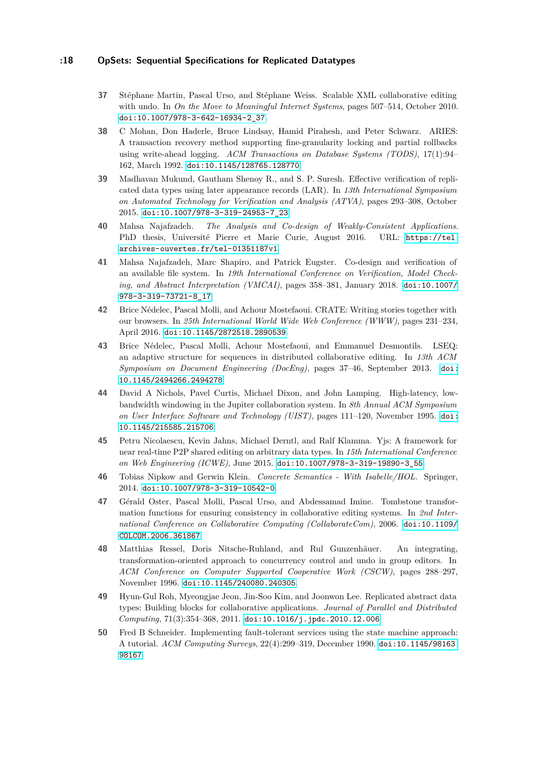#### **:18 OpSets: Sequential Specifications for Replicated Datatypes**

- <span id="page-17-6"></span>**37** Stéphane Martin, Pascal Urso, and Stéphane Weiss. Scalable XML collaborative editing with undo. In *On the Move to Meaningful Internet Systems*, pages 507–514, October 2010. [doi:10.1007/978-3-642-16934-2\\_37](http://dx.doi.org/10.1007/978-3-642-16934-2_37).
- <span id="page-17-8"></span>**38** C Mohan, Don Haderle, Bruce Lindsay, Hamid Pirahesh, and Peter Schwarz. ARIES: A transaction recovery method supporting fine-granularity locking and partial rollbacks using write-ahead logging. *ACM Transactions on Database Systems (TODS)*, 17(1):94– 162, March 1992. [doi:10.1145/128765.128770](http://dx.doi.org/10.1145/128765.128770).
- <span id="page-17-12"></span>**39** Madhavan Mukund, Gautham Shenoy R., and S. P. Suresh. Effective verification of replicated data types using later appearance records (LAR). In *13th International Symposium on Automated Technology for Verification and Analysis (ATVA)*, pages 293–308, October 2015. [doi:10.1007/978-3-319-24953-7\\_23](http://dx.doi.org/10.1007/978-3-319-24953-7_23).
- <span id="page-17-0"></span>**40** Mahsa Najafzadeh. *The Analysis and Co-design of Weakly-Consistent Applications*. PhD thesis, Université Pierre et Marie Curie, August 2016. URL: [https://tel.](https://tel.archives-ouvertes.fr/tel-01351187v1) [archives-ouvertes.fr/tel-01351187v1](https://tel.archives-ouvertes.fr/tel-01351187v1).
- <span id="page-17-1"></span>**41** Mahsa Najafzadeh, Marc Shapiro, and Patrick Eugster. Co-design and verification of an available file system. In *19th International Conference on Verification, Model Checking, and Abstract Interpretation (VMCAI)*, pages 358–381, January 2018. [doi:10.1007/](http://dx.doi.org/10.1007/978-3-319-73721-8_17) [978-3-319-73721-8\\_17](http://dx.doi.org/10.1007/978-3-319-73721-8_17).
- <span id="page-17-3"></span>**42** Brice Nédelec, Pascal Molli, and Achour Mostefaoui. CRATE: Writing stories together with our browsers. In *25th International World Wide Web Conference (WWW)*, pages 231–234, April 2016. [doi:10.1145/2872518.2890539](http://dx.doi.org/10.1145/2872518.2890539).
- <span id="page-17-4"></span>**43** Brice Nédelec, Pascal Molli, Achour Mostefaoui, and Emmanuel Desmontils. LSEQ: an adaptive structure for sequences in distributed collaborative editing. In *13th ACM Symposium on Document Engineering (DocEng)*, pages 37–46, September 2013. [doi:](http://dx.doi.org/10.1145/2494266.2494278) [10.1145/2494266.2494278](http://dx.doi.org/10.1145/2494266.2494278).
- <span id="page-17-11"></span>**44** David A Nichols, Pavel Curtis, Michael Dixon, and John Lamping. High-latency, lowbandwidth windowing in the Jupiter collaboration system. In *8th Annual ACM Symposium on User Interface Software and Technology (UIST)*, pages 111–120, November 1995. [doi:](http://dx.doi.org/10.1145/215585.215706) [10.1145/215585.215706](http://dx.doi.org/10.1145/215585.215706).
- <span id="page-17-7"></span>**45** Petru Nicolaescu, Kevin Jahns, Michael Derntl, and Ralf Klamma. Yjs: A framework for near real-time P2P shared editing on arbitrary data types. In *15th International Conference on Web Engineering (ICWE)*, June 2015. [doi:10.1007/978-3-319-19890-3\\_55](http://dx.doi.org/10.1007/978-3-319-19890-3_55).
- <span id="page-17-13"></span>**46** Tobias Nipkow and Gerwin Klein. *Concrete Semantics - With Isabelle/HOL*. Springer, 2014. [doi:10.1007/978-3-319-10542-0](http://dx.doi.org/10.1007/978-3-319-10542-0).
- <span id="page-17-10"></span>**47** Gérald Oster, Pascal Molli, Pascal Urso, and Abdessamad Imine. Tombstone transformation functions for ensuring consistency in collaborative editing systems. In *2nd International Conference on Collaborative Computing (CollaborateCom)*, 2006. [doi:10.1109/](http://dx.doi.org/10.1109/COLCOM.2006.361867) [COLCOM.2006.361867](http://dx.doi.org/10.1109/COLCOM.2006.361867).
- <span id="page-17-9"></span>**48** Matthias Ressel, Doris Nitsche-Ruhland, and Rul Gunzenhäuer. An integrating, transformation-oriented approach to concurrency control and undo in group editors. In *ACM Conference on Computer Supported Cooperative Work (CSCW)*, pages 288–297, November 1996. [doi:10.1145/240080.240305](http://dx.doi.org/10.1145/240080.240305).
- <span id="page-17-5"></span>**49** Hyun-Gul Roh, Myeongjae Jeon, Jin-Soo Kim, and Joonwon Lee. Replicated abstract data types: Building blocks for collaborative applications. *Journal of Parallel and Distributed Computing*, 71(3):354–368, 2011. [doi:10.1016/j.jpdc.2010.12.006](http://dx.doi.org/10.1016/j.jpdc.2010.12.006).
- <span id="page-17-2"></span>**50** Fred B Schneider. Implementing fault-tolerant services using the state machine approach: A tutorial. *ACM Computing Surveys*, 22(4):299–319, December 1990. [doi:10.1145/98163.](http://dx.doi.org/10.1145/98163.98167) [98167](http://dx.doi.org/10.1145/98163.98167).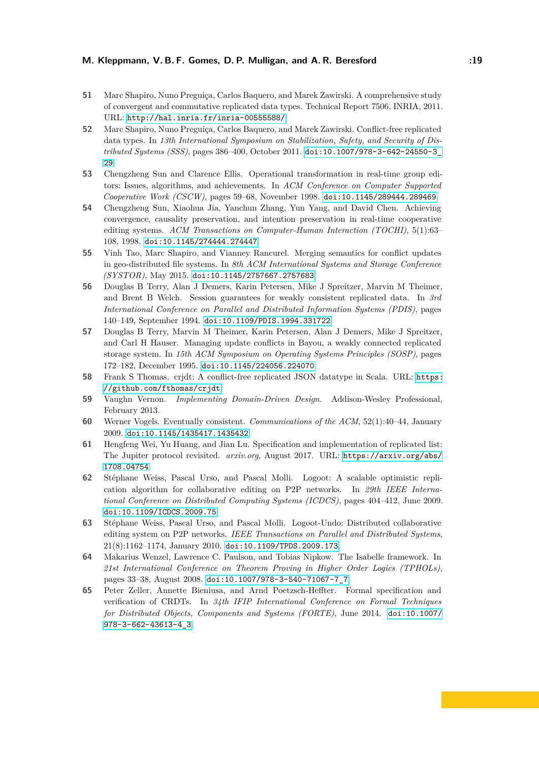- <span id="page-18-2"></span>**51** Marc Shapiro, Nuno Preguiça, Carlos Baquero, and Marek Zawirski. A comprehensive study of convergent and commutative replicated data types. Technical Report 7506, INRIA, 2011. URL: <http://hal.inria.fr/inria-00555588/>.
- <span id="page-18-3"></span>**52** Marc Shapiro, Nuno Preguiça, Carlos Baquero, and Marek Zawirski. Conflict-free replicated data types. In *13th International Symposium on Stabilization, Safety, and Security of Distributed Systems (SSS)*, pages 386–400, October 2011. [doi:10.1007/978-3-642-24550-3\\_](http://dx.doi.org/10.1007/978-3-642-24550-3_29) [29](http://dx.doi.org/10.1007/978-3-642-24550-3_29).
- <span id="page-18-11"></span>**53** Chengzheng Sun and Clarence Ellis. Operational transformation in real-time group editors: Issues, algorithms, and achievements. In *ACM Conference on Computer Supported Cooperative Work (CSCW)*, pages 59–68, November 1998. [doi:10.1145/289444.289469](http://dx.doi.org/10.1145/289444.289469).
- <span id="page-18-12"></span>**54** Chengzheng Sun, Xiaohua Jia, Yanchun Zhang, Yun Yang, and David Chen. Achieving convergence, causality preservation, and intention preservation in real-time cooperative editing systems. *ACM Transactions on Computer-Human Interaction (TOCHI)*, 5(1):63– 108, 1998. [doi:10.1145/274444.274447](http://dx.doi.org/10.1145/274444.274447).
- <span id="page-18-8"></span>**55** Vinh Tao, Marc Shapiro, and Vianney Rancurel. Merging semantics for conflict updates in geo-distributed file systems. In *8th ACM International Systems and Storage Conference (SYSTOR)*, May 2015. [doi:10.1145/2757667.2757683](http://dx.doi.org/10.1145/2757667.2757683).
- <span id="page-18-0"></span>**56** Douglas B Terry, Alan J Demers, Karin Petersen, Mike J Spreitzer, Marvin M Theimer, and Brent B Welch. Session guarantees for weakly consistent replicated data. In *3rd International Conference on Parallel and Distributed Information Systems (PDIS)*, pages 140–149, September 1994. [doi:10.1109/PDIS.1994.331722](http://dx.doi.org/10.1109/PDIS.1994.331722).
- <span id="page-18-10"></span>**57** Douglas B Terry, Marvin M Theimer, Karin Petersen, Alan J Demers, Mike J Spreitzer, and Carl H Hauser. Managing update conflicts in Bayou, a weakly connected replicated storage system. In *15th ACM Symposium on Operating Systems Principles (SOSP)*, pages 172–182, December 1995. [doi:10.1145/224056.224070](http://dx.doi.org/10.1145/224056.224070).
- <span id="page-18-7"></span>**58** Frank S Thomas. crjdt: A conflict-free replicated JSON datatype in Scala. URL: [https:](https://github.com/fthomas/crjdt) [//github.com/fthomas/crjdt](https://github.com/fthomas/crjdt).
- <span id="page-18-9"></span>**59** Vaughn Vernon. *Implementing Domain-Driven Design*. Addison-Wesley Professional, February 2013.
- <span id="page-18-1"></span>**60** Werner Vogels. Eventually consistent. *Communications of the ACM*, 52(1):40–44, January 2009. [doi:10.1145/1435417.1435432](http://dx.doi.org/10.1145/1435417.1435432).
- <span id="page-18-14"></span>**61** Hengfeng Wei, Yu Huang, and Jian Lu. Specification and implementation of replicated list: The Jupiter protocol revisited. *arxiv.org*, August 2017. URL: [https://arxiv.org/abs/](https://arxiv.org/abs/1708.04754) [1708.04754](https://arxiv.org/abs/1708.04754).
- <span id="page-18-5"></span>**62** Stéphane Weiss, Pascal Urso, and Pascal Molli. Logoot: A scalable optimistic replication algorithm for collaborative editing on P2P networks. In *29th IEEE International Conference on Distributed Computing Systems (ICDCS)*, pages 404–412, June 2009. [doi:10.1109/ICDCS.2009.75](http://dx.doi.org/10.1109/ICDCS.2009.75).
- <span id="page-18-6"></span>**63** Stéphane Weiss, Pascal Urso, and Pascal Molli. Logoot-Undo: Distributed collaborative editing system on P2P networks. *IEEE Transactions on Parallel and Distributed Systems*, 21(8):1162–1174, January 2010. [doi:10.1109/TPDS.2009.173](http://dx.doi.org/10.1109/TPDS.2009.173).
- <span id="page-18-4"></span>**64** Makarius Wenzel, Lawrence C. Paulson, and Tobias Nipkow. The Isabelle framework. In *21st International Conference on Theorem Proving in Higher Order Logics (TPHOLs)*, pages 33–38, August 2008. [doi:10.1007/978-3-540-71067-7\\_7](http://dx.doi.org/10.1007/978-3-540-71067-7_7).
- <span id="page-18-13"></span>**65** Peter Zeller, Annette Bieniusa, and Arnd Poetzsch-Heffter. Formal specification and verification of CRDTs. In *34th IFIP International Conference on Formal Techniques for Distributed Objects, Components and Systems (FORTE)*, June 2014. [doi:10.1007/](http://dx.doi.org/10.1007/978-3-662-43613-4_3) [978-3-662-43613-4\\_3](http://dx.doi.org/10.1007/978-3-662-43613-4_3).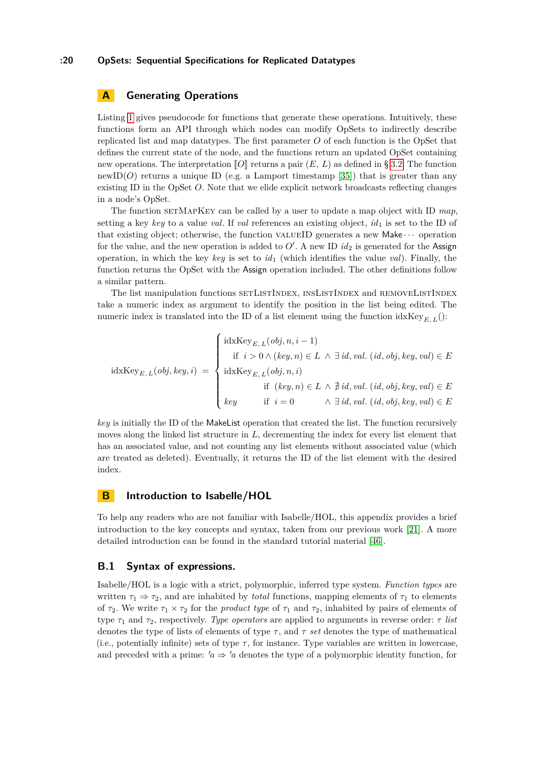#### **:20 OpSets: Sequential Specifications for Replicated Datatypes**

## <span id="page-19-0"></span>**A Generating Operations**

Listing [1](#page-20-0) gives pseudocode for functions that generate these operations. Intuitively, these functions form an API through which nodes can modify OpSets to indirectly describe replicated list and map datatypes. The first parameter *O* of each function is the OpSet that defines the current state of the node, and the functions return an updated OpSet containing new operations. The interpretation  $\llbracket O \rrbracket$  returns a pair  $(E, L)$  as defined in § [3.2.](#page-6-0) The function newID( $O$ ) returns a unique ID (e.g. a Lamport timestamp [\[35\]](#page-16-5)) that is greater than any existing ID in the OpSet *O*. Note that we elide explicit network broadcasts reflecting changes in a node's OpSet.

The function setMapKey can be called by a user to update a map object with ID *map*, setting a key *key* to a value *val*. If *val* references an existing object, *id*<sup>1</sup> is set to the ID of that existing object; otherwise, the function VALUEID generates a new Make  $\cdots$  operation for the value, and the new operation is added to  $O'$ . A new ID  $id_2$  is generated for the Assign operation, in which the key *key* is set to  $id_1$  (which identifies the value *val*). Finally, the function returns the OpSet with the Assign operation included. The other definitions follow a similar pattern.

The list manipulation functions SETLISTINDEX, INSLISTINDEX and REMOVELISTINDEX take a numeric index as argument to identify the position in the list being edited. The numeric index is translated into the ID of a list element using the function  $idxKey_{E,L}()$ :

$$
idxKey_{E,L}(obj, key, i) = \begin{cases} idxKey_{E,L}(obj, n, i-1) \\ \text{if } i > 0 \land (key, n) \in L \land \exists id, val. (id, obj, key, val) \in E \\ idxKey_{E,L}(obj, n, i) \\ \text{if } (key, n) \in L \land \nexists id, val. (id, obj, key, val) \in E \\ key \\ \text{if } i = 0 \end{cases}
$$

*key* is initially the ID of the MakeList operation that created the list. The function recursively moves along the linked list structure in *L*, decrementing the index for every list element that has an associated value, and not counting any list elements without associated value (which are treated as deleted). Eventually, it returns the ID of the list element with the desired index.

## **B Introduction to Isabelle/HOL**

To help any readers who are not familiar with Isabelle/HOL, this appendix provides a brief introduction to the key concepts and syntax, taken from our previous work [\[21\]](#page-16-3). A more detailed introduction can be found in the standard tutorial material [\[46\]](#page-17-13).

#### **B.1 Syntax of expressions.**

Isabelle/HOL is a logic with a strict, polymorphic, inferred type system. *Function types* are written  $\tau_1 \Rightarrow \tau_2$ , and are inhabited by *total* functions, mapping elements of  $\tau_1$  to elements of  $\tau_2$ . We write  $\tau_1 \times \tau_2$  for the *product type* of  $\tau_1$  and  $\tau_2$ , inhabited by pairs of elements of type  $\tau_1$  and  $\tau_2$ , respectively. *Type operators* are applied to arguments in reverse order:  $\tau$  *list* denotes the type of lists of elements of type  $\tau$ , and  $\tau$  *set* denotes the type of mathematical (i.e., potentially infinite) sets of type  $\tau$ , for instance. Type variables are written in lowercase, and preceded with a prime:  $a \Rightarrow a$  denotes the type of a polymorphic identity function, for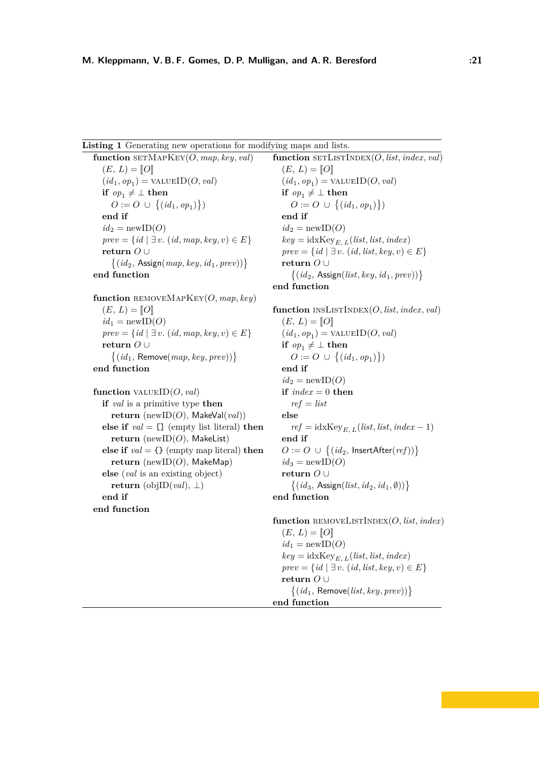#### <span id="page-20-0"></span>**Listing 1** Generating new operations for modifying maps and lists.

```
function \text{SETMAPKEY}(O, map, key, val)(E, L) = \llbracket O \rrbracket(id_1, op_1) = \text{VALUEID}(O, val)if op_1 \neq \perp then
     O := O ∪ {(id<sub>1</sub>, op<sub>1</sub>)})
  end if
  id_2 = newID(O)prev = \{id \mid \exists v. (id, map, key, v) \in E\}return O ∪
     \{(id_2, \text{Assign}(map, key, id_1, prev))\}end function
function REMOVEMAPKEY(O, map, key)(E, L) = ||O||id_1 = newID(O)prev = \{id \mid \exists v. (id, map, key, v) \in E\}return O ∪
     \{(id_1, Remove(map, key, prev))\}end function
function VALUEID(O, val)if val is a primitive type then
     return (newID(O), MakeVal(val))
  else if val = [] (empty list literal) then
     return (newID(O), MakeList)
  else if val = \{\} (empty map literal) then
     return (newID(O), MakeMap)
  else (val is an existing object)
     return (objID(val), \perp)
  end if
end function
                                                     function \text{SETLISTINDEX}(O, list, index, val)(E, L) = \llbracket O \rrbracket(id_1, op_1) = \text{VALUEID}(O, val)if op_1 \neq \perp then
                                                           O := O ∪ {(id<sub>1</sub>, op<sub>1</sub>)})
                                                        end if
                                                        id_2 = newID(O)key = \text{idxKey}_{E, L}(list, list, index)prev = \{id \mid \exists v. (id, list, key, v) \in E\}return O ∪
                                                           \{(id_2, \text{Assign}(list, key, id_1, prev))\}end function
                                                     function INSLISTINDEX(O, list, index, val)(E, L) = \llbracket O \rrbracket(id_1, op_1) = \text{VALUEID}(O, val)if op_1 \neq \perp then
                                                           O := O ∪ {(id<sub>1</sub>, op<sub>1</sub>)})
                                                        end if
                                                        id_2 = newID(O)if index = 0 then
                                                           ref = list
                                                        else
                                                           ref = \text{idxKey}_{E, L}(list, list, index - 1)end if
                                                        O := O ∪ { (id_2, InsetAfter(ref)) }id_3 = newID(O)return O ∪
                                                           \{(id_3, \text{Assign}(list, id_2, id_1, \emptyset))\}end function
                                                     function REMOVELISTINDEX(O, list, index)(E, L) = [O]id_1 = newID(O)key = \text{idxKey}_{E, L}(list, list, index)prev = \{id \mid \exists v. (id, list, key, v) \in E\}return O ∪
                                                           \{(id_1, Remove(list, key, prev))\}end function
```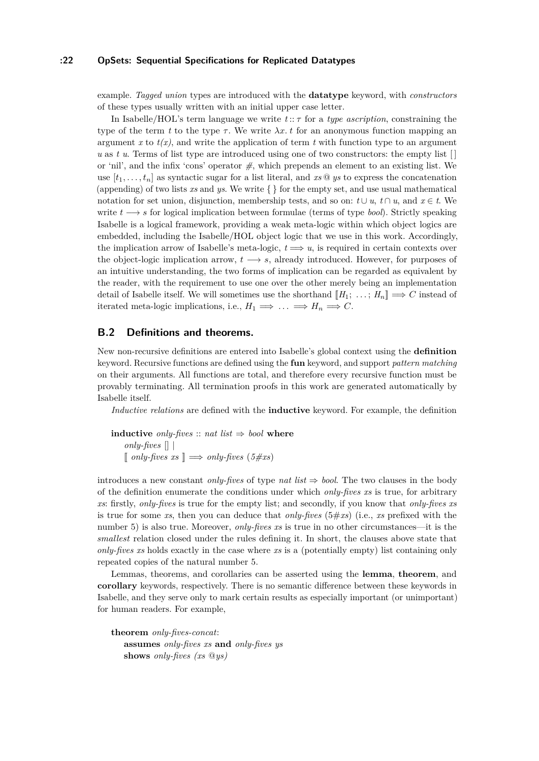#### **:22 OpSets: Sequential Specifications for Replicated Datatypes**

example. *Tagged union* types are introduced with the **datatype** keyword, with *constructors* of these types usually written with an initial upper case letter.

In Isabelle/HOL's term language we write *t* :: *τ* for a *type ascription*, constraining the type of the term *t* to the type  $\tau$ . We write  $\lambda x$ , *t* for an anonymous function mapping an argument  $x$  to  $t(x)$ , and write the application of term  $t$  with function type to an argument *u* as *t u*. Terms of list type are introduced using one of two constructors: the empty list [ ] or 'nil', and the infix 'cons' operator *#*, which prepends an element to an existing list. We use  $[t_1, \ldots, t_n]$  as syntactic sugar for a list literal, and  $xs \otimes ys$  to express the concatenation (appending) of two lists *xs* and *ys*. We write { } for the empty set, and use usual mathematical notation for set union, disjunction, membership tests, and so on:  $t \cup u$ ,  $t \cap u$ , and  $x \in t$ . We write  $t \rightarrow s$  for logical implication between formulae (terms of type *bool*). Strictly speaking Isabelle is a logical framework, providing a weak meta-logic within which object logics are embedded, including the Isabelle/HOL object logic that we use in this work. Accordingly, the implication arrow of Isabelle's meta-logic,  $t \Longrightarrow u$ , is required in certain contexts over the object-logic implication arrow,  $t \rightarrow s$ , already introduced. However, for purposes of an intuitive understanding, the two forms of implication can be regarded as equivalent by the reader, with the requirement to use one over the other merely being an implementation detail of Isabelle itself. We will sometimes use the shorthand  $[[H_1; \ldots; H_n]] \Longrightarrow C$  instead of iterated meta-logic implications, i.e.,  $H_1 \Longrightarrow \dots \Longrightarrow H_n \Longrightarrow C$ .

# **B.2 Definitions and theorems.**

New non-recursive definitions are entered into Isabelle's global context using the **definition** keyword. Recursive functions are defined using the **fun** keyword, and support *pattern matching* on their arguments. All functions are total, and therefore every recursive function must be provably terminating. All termination proofs in this work are generated automatically by Isabelle itself.

*Inductive relations* are defined with the **inductive** keyword. For example, the definition

**inductive** *only-fives* :: *nat list*  $\Rightarrow$  *bool* where *only-fives*  $\Box$  $\lceil \text{only-fives } xs \rceil \implies only-fives (5 \# xs)$ 

introduces a new constant *only-fives* of type *nat list* ⇒ *bool*. The two clauses in the body of the definition enumerate the conditions under which *only-fives xs* is true, for arbitrary *xs*: firstly, *only-fives* is true for the empty list; and secondly, if you know that *only-fives xs* is true for some *xs*, then you can deduce that *only-fives* (5#*xs*) (i.e., *xs* prefixed with the number 5) is also true. Moreover, *only-fives xs* is true in no other circumstances—it is the *smallest* relation closed under the rules defining it. In short, the clauses above state that *only-fives xs* holds exactly in the case where *xs* is a (potentially empty) list containing only repeated copies of the natural number 5.

Lemmas, theorems, and corollaries can be asserted using the **lemma**, **theorem**, and **corollary** keywords, respectively. There is no semantic difference between these keywords in Isabelle, and they serve only to mark certain results as especially important (or unimportant) for human readers. For example,

```
theorem only-fives-concat:
   assumes only-fives xs and only-fives ys
   shows only-fives (xs @ys)
```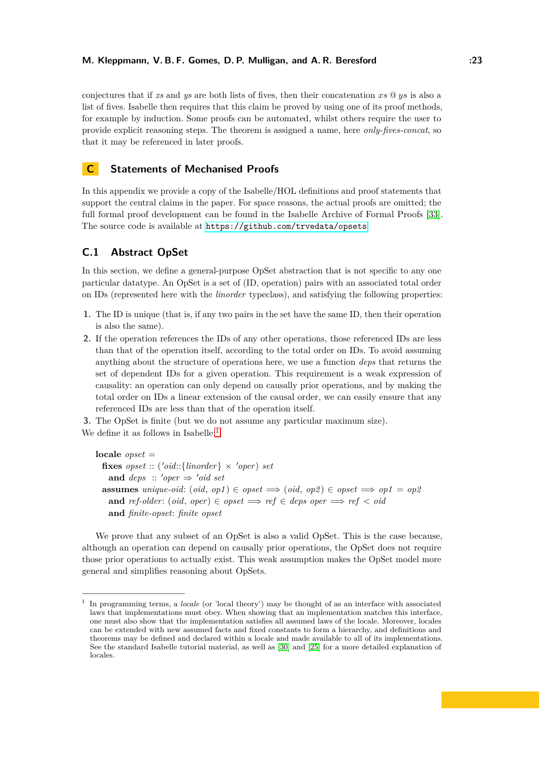conjectures that if *xs* and *ys* are both lists of fives, then their concatenation *xs* @ *ys* is also a list of fives. Isabelle then requires that this claim be proved by using one of its proof methods, for example by induction. Some proofs can be automated, whilst others require the user to provide explicit reasoning steps. The theorem is assigned a name, here *only-fives-concat*, so that it may be referenced in later proofs.

## **C Statements of Mechanised Proofs**

In this appendix we provide a copy of the Isabelle/HOL definitions and proof statements that support the central claims in the paper. For space reasons, the actual proofs are omitted; the full formal proof development can be found in the Isabelle Archive of Formal Proofs [\[33\]](#page-16-4). The source code is available at <https://github.com/trvedata/opsets>.

# <span id="page-22-0"></span>**C.1 Abstract OpSet**

In this section, we define a general-purpose OpSet abstraction that is not specific to any one particular datatype. An OpSet is a set of (ID, operation) pairs with an associated total order on IDs (represented here with the *linorder* typeclass), and satisfying the following properties:

- **1.** The ID is unique (that is, if any two pairs in the set have the same ID, then their operation is also the same).
- **2.** If the operation references the IDs of any other operations, those referenced IDs are less than that of the operation itself, according to the total order on IDs. To avoid assuming anything about the structure of operations here, we use a function *deps* that returns the set of dependent IDs for a given operation. This requirement is a weak expression of causality: an operation can only depend on causally prior operations, and by making the total order on IDs a linear extension of the causal order, we can easily ensure that any referenced IDs are less than that of the operation itself.

**3.** The OpSet is finite (but we do not assume any particular maximum size). We define it as follows in Isabelle: $<sup>1</sup>$  $<sup>1</sup>$  $<sup>1</sup>$ </sup>

```
locale opset =
  fixes opset :: ('oid::\{linear\} \times 'oper) setand deps \therefore 'oper \Rightarrow 'oid set
  assumes unique-oid: (\textit{oid}, \textit{op1}) \in \textit{opset} \implies (\textit{oid}, \textit{op2}) \in \textit{opset} \implies \textit{op1} = \textit{op2}and ref-older: (oid, oper) \in opset \implies ref \in deps oper \implies ref \lt oid
    and finite-opset: finite opset
```
We prove that any subset of an OpSet is also a valid OpSet. This is the case because, although an operation can depend on causally prior operations, the OpSet does not require those prior operations to actually exist. This weak assumption makes the OpSet model more general and simplifies reasoning about OpSets.

<sup>1</sup> In programming terms, a *locale* (or 'local theory') may be thought of as an interface with associated laws that implementations must obey. When showing that an implementation matches this interface, one must also show that the implementation satisfies all assumed laws of the locale. Moreover, locales can be extended with new assumed facts and fixed constants to form a hierarchy, and definitions and theorems may be defined and declared within a locale and made available to all of its implementations. See the standard Isabelle tutorial material, as well as [\[30\]](#page-16-16) and [\[25\]](#page-16-17) for a more detailed explanation of locales.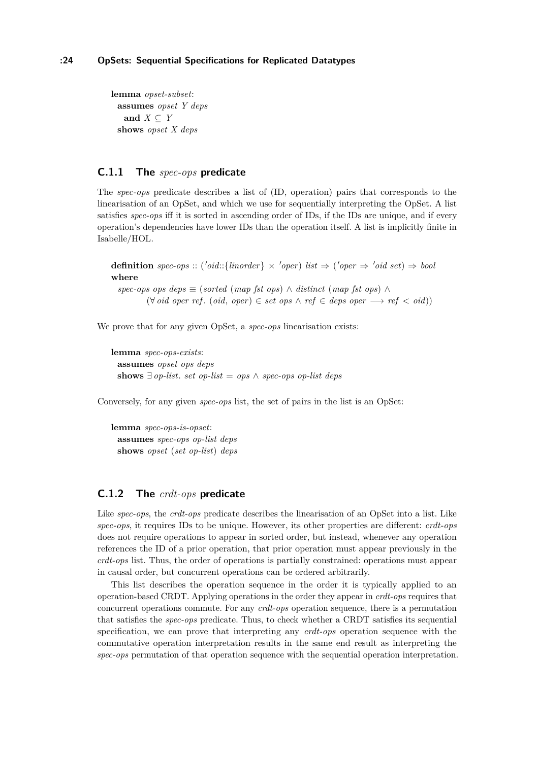**lemma** *opset-subset*: **assumes** *opset Y deps* and  $X \subseteq Y$ **shows** *opset X deps*

# **C.1.1 The** *spec-ops* **predicate**

The *spec-ops* predicate describes a list of (ID, operation) pairs that corresponds to the linearisation of an OpSet, and which we use for sequentially interpreting the OpSet. A list satisfies *spec-ops* iff it is sorted in ascending order of IDs, if the IDs are unique, and if every operation's dependencies have lower IDs than the operation itself. A list is implicitly finite in Isabelle/HOL.

**definition**  $spec\text{-}ops::('oid::\{linear\} \times 'oper)$  *list*  $\Rightarrow ('oper \Rightarrow 'oid set) \Rightarrow bool$ **where**

 $spec-ops \text{ }ops \text{ }des \equiv (sorted \text{ } (map \text{ }fst \text{ }ops) \land distinct \text{ } (map \text{ }fst \text{ }ops) \land$ (∀ *oid oper ref .* (*oid, oper*) ∈ *set ops* ∧ *ref* ∈ *deps oper* −→ *ref < oid*))

We prove that for any given OpSet, a *spec-ops* linearisation exists:

**lemma** *spec-ops-exists*: **assumes** *opset ops deps* **shows**  $∃ op-list$ *. set op-list* = *ops* ∧ *spec-ops op-list deps* 

Conversely, for any given *spec-ops* list, the set of pairs in the list is an OpSet:

**lemma** *spec-ops-is-opset*: **assumes** *spec-ops op-list deps* **shows** *opset* (*set op-list*) *deps*

# **C.1.2 The** *crdt-ops* **predicate**

Like *spec-ops*, the *crdt-ops* predicate describes the linearisation of an OpSet into a list. Like *spec-ops*, it requires IDs to be unique. However, its other properties are different: *crdt-ops* does not require operations to appear in sorted order, but instead, whenever any operation references the ID of a prior operation, that prior operation must appear previously in the *crdt-ops* list. Thus, the order of operations is partially constrained: operations must appear in causal order, but concurrent operations can be ordered arbitrarily.

This list describes the operation sequence in the order it is typically applied to an operation-based CRDT. Applying operations in the order they appear in *crdt-ops* requires that concurrent operations commute. For any *crdt-ops* operation sequence, there is a permutation that satisfies the *spec-ops* predicate. Thus, to check whether a CRDT satisfies its sequential specification, we can prove that interpreting any *crdt-ops* operation sequence with the commutative operation interpretation results in the same end result as interpreting the *spec-ops* permutation of that operation sequence with the sequential operation interpretation.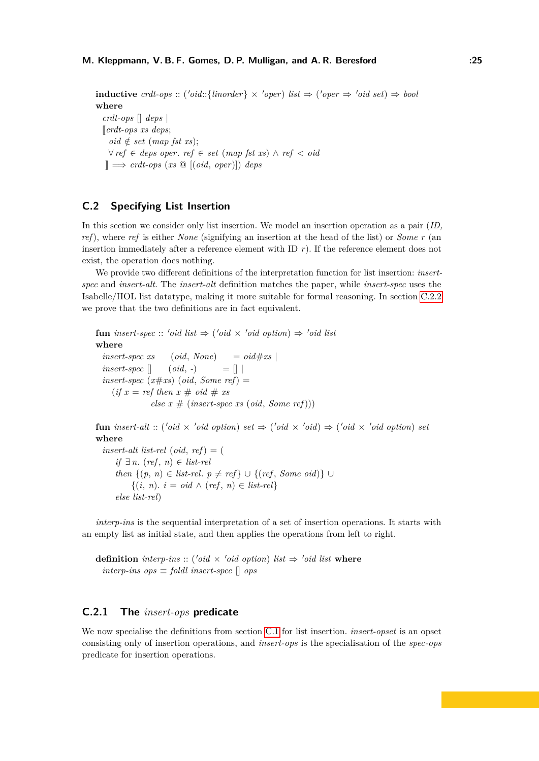**inductive** crdt-ops :: ('oid::{linorder} × 'oper) list  $\Rightarrow$  ('oper  $\Rightarrow$  'oid set)  $\Rightarrow$  bool **where** *crdt-ops* [] *deps* | [[*crdt-ops xs deps*; *oid*  $\notin$  *set* (*map fst xs*); ∀ *ref* ∈ *deps oper. ref* ∈ *set* (*map fst xs*) ∧ *ref < oid*  $\mathbb{R} \implies \text{crdt-ops}$  (*xs*  $\mathbb{Q}$  [(*oid, oper*)]) *deps* 

# **C.2 Specifying List Insertion**

In this section we consider only list insertion. We model an insertion operation as a pair (*ID, ref*), where *ref* is either *None* (signifying an insertion at the head of the list) or *Some r* (an insertion immediately after a reference element with ID *r*). If the reference element does not exist, the operation does nothing.

We provide two different definitions of the interpretation function for list insertion: *insertspec* and *insert-alt*. The *insert-alt* definition matches the paper, while *insert-spec* uses the Isabelle/HOL list datatype, making it more suitable for formal reasoning. In section [C.2.2](#page-25-1) we prove that the two definitions are in fact equivalent.

```
fun insert-spec :: 'oid list \Rightarrow ('oid \times 'oid option) \Rightarrow 'oid list
where
  insert\text{-}spec\; xs \quad (oid, None) = oid\# xsinsert\text{-}spec \parallel \text{(oid, -)} = []insert\text{-}spec\ (x\#xs)\ (oid, Some\ ref) =(if x = ref then x \# oil \# xs)else x \# (insert-spec xs (oid, Some ref)))
```
**fun** insert-alt :: ('oid  $\times$  'oid option) set  $\Rightarrow$  ('oid  $\times$  'oid)  $\Rightarrow$  ('oid  $\times$  'oid option) set **where**  $insert-alt$  *list-rel* (*oid*, *ref*) = ( *if* ∃ *n.* (ref, n) ∈ *list-rel then*  $\{(p, n) \in \text{list-rel. } p \neq \text{ref}\}$  ∪  $\{(ref, Some \text{oid})\}$  ∪  $\{(i, n): i = \text{oid} \land (\text{ref}, n) \in \text{list-rel}\}\$ 

*interp-ins* is the sequential interpretation of a set of insertion operations. It starts with an empty list as initial state, and then applies the operations from left to right.

**definition** *interp-ins* :: ( $'oid \times 'oid$  *option*) *list*  $\Rightarrow 'oid$  *list* **where** *interp-ins ops*  $\equiv$  *foldl insert-spec*  $\parallel$  *ops* 

# **C.2.1 The** *insert-ops* **predicate**

*else list-rel*)

We now specialise the definitions from section [C.1](#page-22-0) for list insertion. *insert-opset* is an opset consisting only of insertion operations, and *insert-ops* is the specialisation of the *spec-ops* predicate for insertion operations.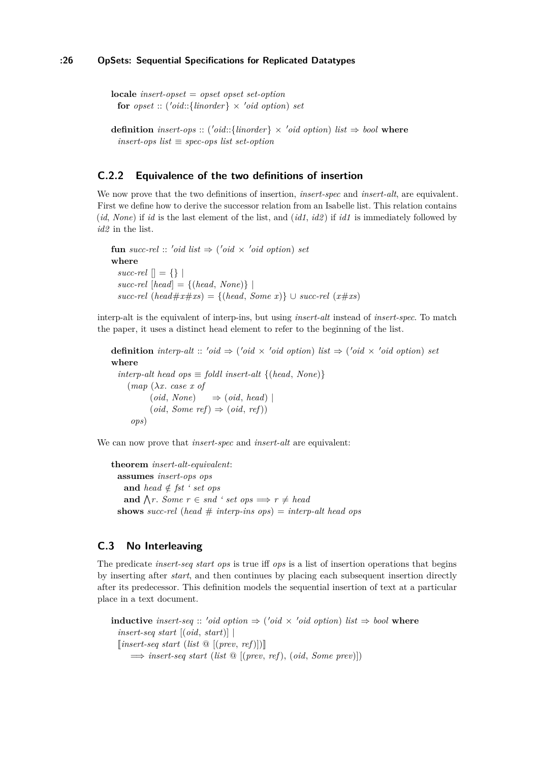**locale** *insert-opset* = *opset opset set-option* **for** *opset* :: ( $'oid::\{linear\} \times 'oid$  *option*) *set* 

**definition** *insert-ops* :: ('oid::{*linorder*}  $\times$  'oid option) *list*  $\Rightarrow$  *bool* where *insert-ops list* ≡ *spec-ops list set-option*

# <span id="page-25-1"></span>**C.2.2 Equivalence of the two definitions of insertion**

We now prove that the two definitions of insertion, *insert-spec* and *insert-alt*, are equivalent. First we define how to derive the successor relation from an Isabelle list. This relation contains (*id*, *None*) if *id* is the last element of the list, and (*id1*, *id2* ) if *id1* is immediately followed by *id2* in the list.

**fun** *succ-rel* :: '*oid list*  $\Rightarrow$  ('*oid*  $\times$  '*oid option*) *set* **where**  $succ\text{-}rel \parallel = \{\}$  $succ\text{-rel}$  [*head*] = {(*head, None*)}  $succ$ *rel*  $(head#x#xs) = \{(head, Some x)\} \cup succ$ *rel*  $(x#xs)$ 

interp-alt is the equivalent of interp-ins, but using *insert-alt* instead of *insert-spec*. To match the paper, it uses a distinct head element to refer to the beginning of the list.

**definition**  $\text{interp-alt} :: \text{'} \text{oid} \Rightarrow (\text{'} \text{oid} \times \text{'} \text{oid} \text{ option}) \text{ list } \Rightarrow (\text{'} \text{oid} \times \text{'} \text{oid} \text{ option}) \text{ set}$ **where** *interp-alt head ops*  $\equiv$  *foldl insert-alt*  $\{(head, None)\}$ (*map* (*λx. case x of*  $(oid, None) \Rightarrow (oid, head)$  $(oid, Some\ ref) \Rightarrow (oid, ref)$ *ops*)

We can now prove that *insert-spec* and *insert-alt* are equivalent:

**theorem** *insert-alt-equivalent*: **assumes** *insert-ops ops* and *head*  $\notin$  *fst ' set ops* **and**  $\bigwedge r$ *. Some*  $r \in$  *snd* ' *set ops*  $\implies$   $r \neq$  *head* **shows** *succ-rel* (*head*  $\#$  *interp-ins ops*) = *interp-alt head ops* 

# <span id="page-25-0"></span>**C.3 No Interleaving**

The predicate *insert-seq start ops* is true iff *ops* is a list of insertion operations that begins by inserting after *start*, and then continues by placing each subsequent insertion directly after its predecessor. This definition models the sequential insertion of text at a particular place in a text document.

**inductive** insert-seq :: 'oid option  $\Rightarrow$  ('oid  $\times$  'oid option) list  $\Rightarrow$  bool where  $insert-seq start [(oid, start)]$  $\lceil$ *insert-seq start* (*list*  $\mathcal{Q}$  [(*prev, ref*)])] =⇒ *insert-seq start* (*list* @ [(*prev, ref*)*,* (*oid, Some prev*)])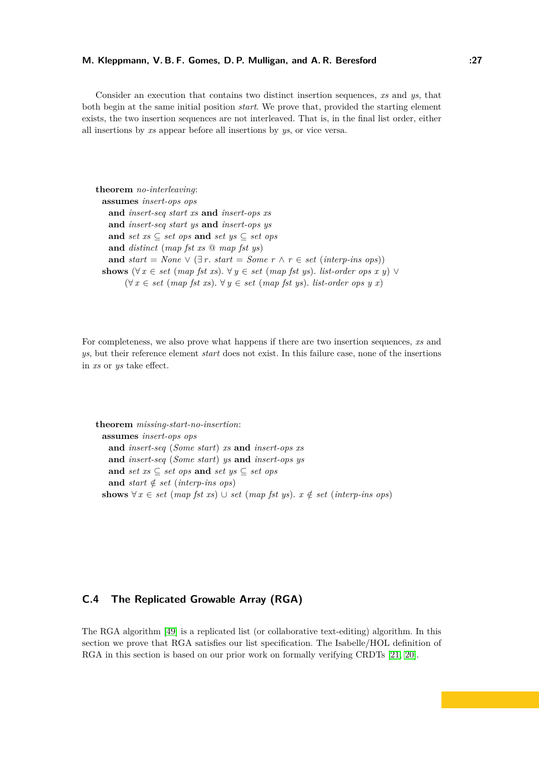#### **M. Kleppmann, V. B. F. Gomes, D. P. Mulligan, and A. R. Beresford :27**

Consider an execution that contains two distinct insertion sequences, *xs* and *ys*, that both begin at the same initial position *start*. We prove that, provided the starting element exists, the two insertion sequences are not interleaved. That is, in the final list order, either all insertions by *xs* appear before all insertions by *ys*, or vice versa.

**theorem** *no-interleaving*: **assumes** *insert-ops ops* **and** *insert-seq start xs* **and** *insert-ops xs* **and** *insert-seq start ys* **and** *insert-ops ys* **and** *set xs* ⊆ *set ops* **and** *set ys* ⊆ *set ops* **and** *distinct* (*map fst xs* @ *map fst ys*) **and**  $start = None \vee (\exists r. start = Some r \wedge r \in set (interp-ins ops))$ **shows** ( $∀x ∈ set (map fst xs)$ .  $∀y ∈ set (map fst ys)$ *. list-order ops x y*) ∨ (∀ *x* ∈ *set* (*map fst xs*)*.* ∀ *y* ∈ *set* (*map fst ys*)*. list-order ops y x*)

For completeness, we also prove what happens if there are two insertion sequences, *xs* and *ys*, but their reference element *start* does not exist. In this failure case, none of the insertions in *xs* or *ys* take effect.

```
theorem missing-start-no-insertion:
 assumes insert-ops ops
   and insert-seq (Some start) xs and insert-ops xs
   and insert-seq (Some start) ys and insert-ops ys
   and set xs ⊂ set ops and set ys ⊂ set ops
   and start \notin set (interp-ins ops)
 shows \forall x \in set \ (map \ fst \ xs) \cup set \ (map \ fst \ ys). \ x \notin set \ (interp-ins \ ops)
```
# <span id="page-26-0"></span>**C.4 The Replicated Growable Array (RGA)**

The RGA algorithm [\[49\]](#page-17-5) is a replicated list (or collaborative text-editing) algorithm. In this section we prove that RGA satisfies our list specification. The Isabelle/HOL definition of RGA in this section is based on our prior work on formally verifying CRDTs [\[21,](#page-16-3) [20\]](#page-16-8).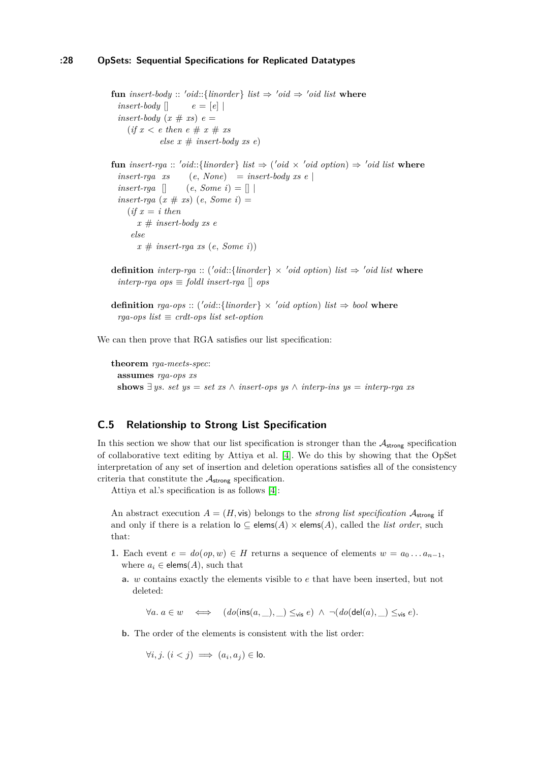#### **:28 OpSets: Sequential Specifications for Replicated Datatypes**

```
fun insert-body :: 'oid::{linorder} list \Rightarrow 'oid \Rightarrow 'oid list where
  insert-body \begin{bmatrix} e \\ e \end{bmatrix}insert-body (x \# xs) e =(if x < e \ then \ e \# x \# xs)else x # insert-body xs e)fun insert-rga :: 'oid::{linorder} list \Rightarrow ('oid \times 'oid option) \Rightarrow 'oid list where
  insert\text{-}rga xs (e, None) = insert\text{-}body xs e |insert-rga [ (e, Some i) = []insert-rga (x \# xs) (e, Some i) =(if x = i then)x \# insert-body xs e
      else
       x \# insert\text{-}rqa \; xs \; (e, Some \; i))
```
**definition** *interp-rga* :: ('oid::{*linorder*}  $\times$  'oid option) *list*  $\Rightarrow$  'oid *list* where *interp-rga ops*  $\equiv$  *foldl insert-rga*  $\parallel$  *ops* 

**definition** *rga-ops* :: ('*oid*::{*linorder*}  $\times$  '*oid option*) *list*  $\Rightarrow$  *bool* where *rga-ops list* ≡ *crdt-ops list set-option*

We can then prove that RGA satisfies our list specification:

**theorem** *rga-meets-spec*: **assumes** *rga-ops xs* **shows**  $∃ ys. set ys = set xs ∧ insert-ops ys ∧ interp-ins ys = interp-rga xs$ 

## <span id="page-27-0"></span>**C.5 Relationship to Strong List Specification**

In this section we show that our list specification is stronger than the  $A_{\text{strong}}$  specification of collaborative text editing by Attiya et al. [\[4\]](#page-15-3). We do this by showing that the OpSet interpretation of any set of insertion and deletion operations satisfies all of the consistency criteria that constitute the  $A_{\text{strong}}$  specification.

Attiya et al.'s specification is as follows [\[4\]](#page-15-3):

An abstract execution  $A = (H, \text{vis})$  belongs to the *strong list specification*  $A_{\text{strong}}$  if and only if there is a relation  $\mathsf{lo} \subseteq \mathsf{elements}(A) \times \mathsf{elements}(A)$ , called the *list order*, such that:

- **1.** Each event  $e = do(op, w) \in H$  returns a sequence of elements  $w = a_0 \dots a_{n-1}$ , where  $a_i \in \text{elements}(A)$ , such that
	- **a.** *w* contains exactly the elements visible to *e* that have been inserted, but not deleted:

 $\forall a. a \in w \iff (do(\text{ins}(a,)),) \leq_{\text{vis}} e) \land \neg (do(\text{del}(a),)) \leq_{\text{vis}} e).$ 

**b.** The order of the elements is consistent with the list order:

 $\forall i, j. (i < j) \implies (a_i, a_j) \in \mathsf{lo}.$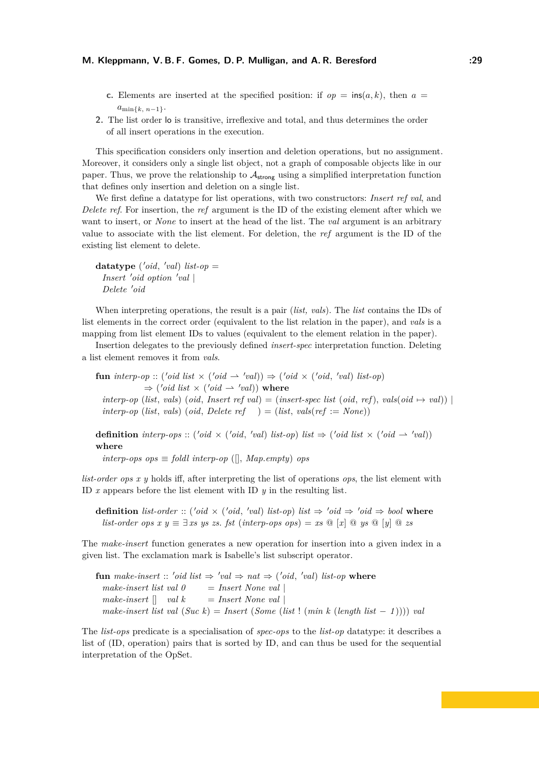#### **M. Kleppmann, V. B. F. Gomes, D. P. Mulligan, and A. R. Beresford :29**

- **c.** Elements are inserted at the specified position: if  $op = \text{ins}(a, k)$ , then  $a =$  $a_{\min\{k, n-1\}}$ .
- **2.** The list order lo is transitive, irreflexive and total, and thus determines the order of all insert operations in the execution.

This specification considers only insertion and deletion operations, but no assignment. Moreover, it considers only a single list object, not a graph of composable objects like in our paper. Thus, we prove the relationship to  $A_{\text{strong}}$  using a simplified interpretation function that defines only insertion and deletion on a single list.

We first define a datatype for list operations, with two constructors: *Insert ref val*, and *Delete ref*. For insertion, the *ref* argument is the ID of the existing element after which we want to insert, or *None* to insert at the head of the list. The *val* argument is an arbitrary value to associate with the list element. For deletion, the *ref* argument is the ID of the existing list element to delete.

 $datatype('oid,'val)$  *list-op* = *Insert* 'oid option 'val  $Delete$  'oid

When interpreting operations, the result is a pair (*list, vals*). The *list* contains the IDs of list elements in the correct order (equivalent to the list relation in the paper), and *vals* is a mapping from list element IDs to values (equivalent to the element relation in the paper).

Insertion delegates to the previously defined *insert-spec* interpretation function. Deleting a list element removes it from *vals*.

**fun** *interp-op* :: ('*oid list*  $\times$  ('*oid*  $\rightarrow$  '*val*))  $\Rightarrow$  ('*oid*  $\times$  ('*oid*, '*val*) *list-op*)  $\Rightarrow$  ('oid list  $\times$  ('oid  $\rightarrow$  'val)) where  $interp$ -op (*list*, *vals*) (*oid*, *Insert ref val*) = (*insert-spec list* (*oid*, *ref*)*, vals*(*oid*  $\mapsto$  *val*)) | *interp-op* (*list*, *vals*) (*oid*, *Delete ref* ) = (*list*, *vals*(*ref* := *None*))

**definition**  $\text{interp-ops} :: (\text{\'i}od \times (\text{\'i}od, \text{\'i}val)) \text{ list-op}) \text{ list } \Rightarrow (\text{\'i}oid \text{ list } \times (\text{\'i}oid \rightarrow \text{\'i}val))$ **where**

 $inter_{\text{p}}$ *-ops ops*  $\equiv$  *foldl interp-op* ([], *Map.empty*) *ops* 

*list-order ops x y* holds iff, after interpreting the list of operations *ops*, the list element with ID *x* appears before the list element with ID *y* in the resulting list.

**definition** *list-order* :: ('*oid*  $\times$  ('*oid*, '*val*) *list-op*) *list*  $\Rightarrow$  '*oid*  $\Rightarrow$  '*oid*  $\Rightarrow$  *bool* where *list-order ops x y*  $\equiv \exists$  *xs ys zs. fst* (*interp-ops ops*) = *xs*  $\textcircled{a}$  [*x*]  $\textcircled{a}$  *ys*  $\textcircled{a}$  [*y*]  $\textcircled{a}$  *zs* 

The *make-insert* function generates a new operation for insertion into a given index in a given list. The exclamation mark is Isabelle's list subscript operator.

 ${\bf f}$ **un**  $make\text{-}insert :: 'oid list \Rightarrow 'val \Rightarrow nat \Rightarrow ('oid, 'val) list\text{-}op$  where  $make-insert$  *list val*  $0 = Insert$  *None val*  $make\text{-}insert \parallel \text{val } k = Insert \text{ None } val$ *make-insert list val* (*Suc k*) = *Insert* (*Some* (*list* ! (*min k* (*length list* − *1* )))) *val*

The *list-ops* predicate is a specialisation of *spec-ops* to the *list-op* datatype: it describes a list of (ID, operation) pairs that is sorted by ID, and can thus be used for the sequential interpretation of the OpSet.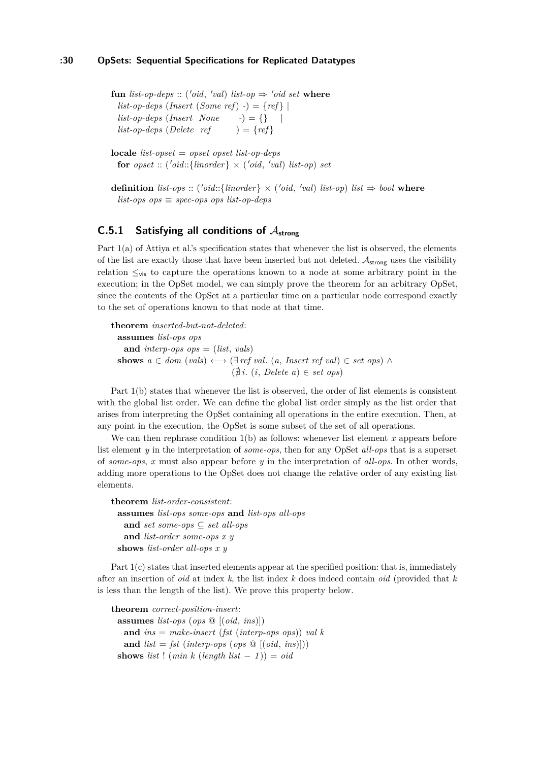${\bf fun} \; list\text{-}op\text{-}deps :: ('oid, 'val) \; list\text{-}op \Rightarrow 'oid \; set \; {\bf where}$ *list-op-deps* (*Insert* (*Some ref*) -) =  $\{ref\}$  |  $list-op-deps$  (*Insert None* -) = {} | *list-op-deps* (*Delete ref* ) = {*ref*}

**locale** *list-opset* = *opset opset list-op-deps* **for**  $opset :: ('oid::\{linorder\} \times ('oid, 'val)$  *list-op*) *set* 

**definition** *list-ops* :: ('oid::{*linorder*}  $\times$  ('oid, 'val) *list-op*) *list*  $\Rightarrow$  *bool* where  $list-ops \textit{ ops} \equiv spec-ops \textit{ops} list-op-deps$ 

# **C.5.1 Satisfying all conditions of** A**strong**

Part 1(a) of Attiya et al.'s specification states that whenever the list is observed, the elements of the list are exactly those that have been inserted but not deleted.  $A_{strong}$  uses the visibility relation  $\leq_{\text{vis}}$  to capture the operations known to a node at some arbitrary point in the execution; in the OpSet model, we can simply prove the theorem for an arbitrary OpSet, since the contents of the OpSet at a particular time on a particular node correspond exactly to the set of operations known to that node at that time.

**theorem** *inserted-but-not-deleted*: **assumes** *list-ops ops* and *interp-ops ops*  $=$  (*list*, *vals*) shows  $a \in dom (vals) \longleftrightarrow (\exists ref val. (a, Insert ref val) \in set ops) \land$  $(\nexists i. (i, Delete a) \in set ops)$ 

Part 1(b) states that whenever the list is observed, the order of list elements is consistent with the global list order. We can define the global list order simply as the list order that arises from interpreting the OpSet containing all operations in the entire execution. Then, at any point in the execution, the OpSet is some subset of the set of all operations.

We can then rephrase condition 1(b) as follows: whenever list element *x* appears before list element *y* in the interpretation of *some-ops*, then for any OpSet *all-ops* that is a superset of *some-ops*, *x* must also appear before *y* in the interpretation of *all-ops*. In other words, adding more operations to the OpSet does not change the relative order of any existing list elements.

**theorem** *list-order-consistent*: **assumes** *list-ops some-ops* **and** *list-ops all-ops* **and** *set some-ops* ⊆ *set all-ops* **and** *list-order some-ops x y* **shows** *list-order all-ops x y*

Part 1(c) states that inserted elements appear at the specified position: that is, immediately after an insertion of *oid* at index *k*, the list index *k* does indeed contain *oid* (provided that *k* is less than the length of the list). We prove this property below.

```
theorem correct-position-insert:
  assumes list-ops (ops @ [(oid, ins)])
   and ins = make-insert (fst (interp-ops ops)) val k
   and list = \text{fst} \text{ (inter_{o} - op_{s} \text{ (op_{s} \text{ @ } [(oid, ins)]))})shows list ! (min k (length list - 1)) = oid
```